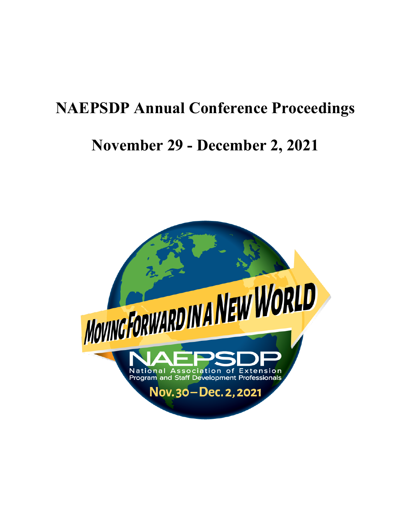# **NAEPSDP Annual Conference Proceedings**

# **November 29 - December 2, 2021**

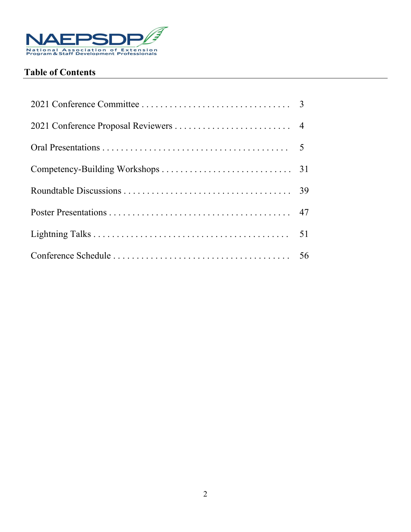

# **Table of Contents**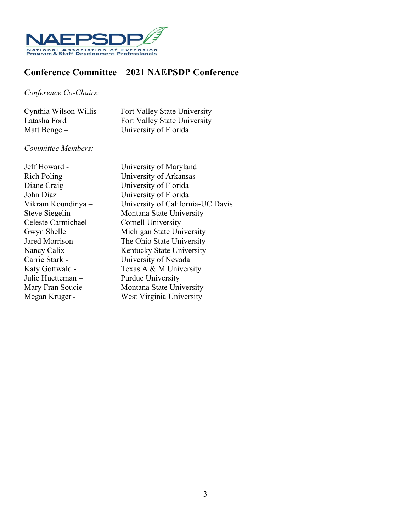

# **Conference Committee – 2021 NAEPSDP Conference**

## *Conference Co-Chairs:*

| Cynthia Wilson Willis - | Fort Valley State University |
|-------------------------|------------------------------|
| Latasha Ford –          | Fort Valley State University |
| Matt Benge $-$          | University of Florida        |

## *Committee Members:*

| Jeff Howard -        | University of Maryland            |
|----------------------|-----------------------------------|
| $Rich$ Poling $-$    | University of Arkansas            |
| Diane Craig $-$      | University of Florida             |
| John Diaz -          | University of Florida             |
| Vikram Koundinya –   | University of California-UC Davis |
| Steve Siegelin –     | Montana State University          |
| Celeste Carmichael - | Cornell University                |
| Gwyn Shelle $-$      | Michigan State University         |
| Jared Morrison-      | The Ohio State University         |
| Nancy Calix $-$      | Kentucky State University         |
| Carrie Stark -       | University of Nevada              |
| Katy Gottwald -      | Texas A & M University            |
| Julie Huetteman-     | Purdue University                 |
| Mary Fran Soucie -   | Montana State University          |
| Megan Kruger-        | West Virginia University          |
|                      |                                   |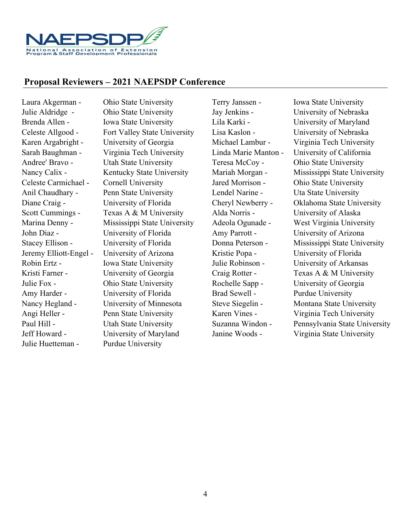

## **Proposal Reviewers – 2021 NAEPSDP Conference**

Julie Huetteman - Purdue University

Laura Akgerman - Ohio State University Terry Janssen - Iowa State University Julie Aldridge - Ohio State University Jay Jenkins - University of Nebraska Brenda Allen - Iowa State University Lila Karki - University of Maryland Celeste Allgood - Fort Valley State University Lisa Kaslon - University of Nebraska Karen Argabright - University of Georgia Michael Lambur - Virginia Tech University Sarah Baughman - Virginia Tech University Linda Marie Manton - University of California Andree' Bravo - Utah State University Teresa McCoy - Ohio State University Celeste Carmichael - Cornell University Jared Morrison - Ohio State University Anil Chaudhary - Penn State University Lendel Narine - Uta State University Diane Craig - University of Florida Cheryl Newberry - Oklahoma State University Scott Cummings - Texas A & M University Alda Norris - University of Alaska Marina Denny - Mississippi State University Adeola Ogunade - West Virginia University John Diaz - University of Florida Amy Parrott - University of Arizona Jeremy Elliott-Engel - University of Arizona Kristie Popa - University of Florida Robin Ertz - Iowa State University Julie Robinson - University of Arkansas Kristi Farner - University of Georgia Craig Rotter - Texas A & M University Julie Fox - Ohio State University Rochelle Sapp - University of Georgia Amy Harder - University of Florida Brad Sewell - Purdue University Nancy Hegland - University of Minnesota Steve Siegelin - Montana State University Angi Heller - Penn State University Karen Vines - Virginia Tech University Jeff Howard - University of Maryland Janine Woods - Virginia State University

Nancy Calix - Kentucky State University Mariah Morgan - Mississippi State University Stacey Ellison - University of Florida Donna Peterson - Mississippi State University Paul Hill - <br>
Utah State University Suzanna Windon - Pennsylvania State University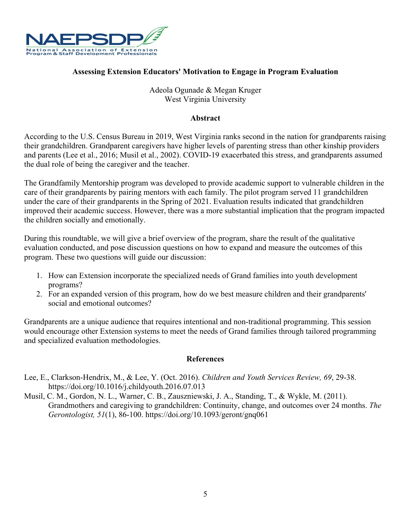

## **Assessing Extension Educators' Motivation to Engage in Program Evaluation**

## Adeola Ogunade & Megan Kruger West Virginia University

#### **Abstract**

According to the U.S. Census Bureau in 2019, West Virginia ranks second in the nation for grandparents raising their grandchildren. Grandparent caregivers have higher levels of parenting stress than other kinship providers and parents (Lee et al., 2016; Musil et al., 2002). COVID-19 exacerbated this stress, and grandparents assumed the dual role of being the caregiver and the teacher.

The Grandfamily Mentorship program was developed to provide academic support to vulnerable children in the care of their grandparents by pairing mentors with each family. The pilot program served 11 grandchildren under the care of their grandparents in the Spring of 2021. Evaluation results indicated that grandchildren improved their academic success. However, there was a more substantial implication that the program impacted the children socially and emotionally.

During this roundtable, we will give a brief overview of the program, share the result of the qualitative evaluation conducted, and pose discussion questions on how to expand and measure the outcomes of this program. These two questions will guide our discussion:

- 1. How can Extension incorporate the specialized needs of Grand families into youth development programs?
- 2. For an expanded version of this program, how do we best measure children and their grandparents' social and emotional outcomes?

Grandparents are a unique audience that requires intentional and non-traditional programming. This session would encourage other Extension systems to meet the needs of Grand families through tailored programming and specialized evaluation methodologies.

- Lee, E., Clarkson-Hendrix, M., & Lee, Y. (Oct. 2016). *Children and Youth Services Review, 69*, 29-38. https://doi.org/10.1016/j.childyouth.2016.07.013
- Musil, C. M., Gordon, N. L., Warner, C. B., Zauszniewski, J. A., Standing, T., & Wykle, M. (2011). Grandmothers and caregiving to grandchildren: Continuity, change, and outcomes over 24 months. *The Gerontologist, 51*(1), 86-100. https://doi.org/10.1093/geront/gnq061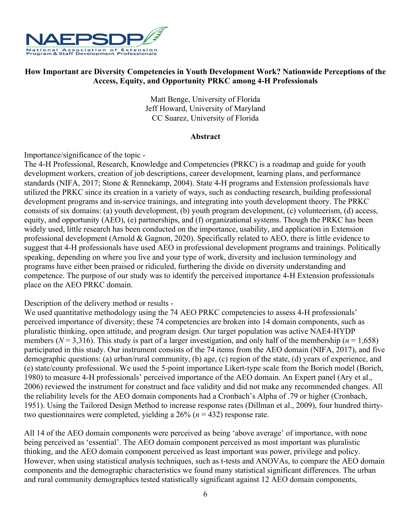

## **How Important are Diversity Competencies in Youth Development Work? Nationwide Perceptions of the Access, Equity, and Opportunity PRKC among 4-H Professionals**

Matt Benge, University of Florida Jeff Howard, University of Maryland CC Suarez, University of Florida

#### **Abstract**

Importance/significance of the topic -

The 4-H Professional, Research, Knowledge and Competencies (PRKC) is a roadmap and guide for youth development workers, creation of job descriptions, career development, learning plans, and performance standards (NIFA, 2017; Stone & Rennekamp, 2004). State 4-H programs and Extension professionals have utilized the PRKC since its creation in a variety of ways, such as conducting research, building professional development programs and in-service trainings, and integrating into youth development theory. The PRKC consists of six domains: (a) youth development, (b) youth program development, (c) volunteerism, (d) access, equity, and opportunity (AEO), (e) partnerships, and (f) organizational systems. Though the PRKC has been widely used, little research has been conducted on the importance, usability, and application in Extension professional development (Arnold & Gagnon, 2020). Specifically related to AEO, there is little evidence to suggest that 4-H professionals have used AEO in professional development programs and trainings. Politically speaking, depending on where you live and your type of work, diversity and inclusion terminology and programs have either been praised or ridiculed, furthering the divide on diversity understanding and competence. The purpose of our study was to identify the perceived importance 4-H Extension professionals place on the AEO PRKC domain.

Description of the delivery method or results -

We used quantitative methodology using the 74 AEO PRKC competencies to assess 4-H professionals' perceived importance of diversity; these 74 competencies are broken into 14 domain components, such as pluralistic thinking, open attitude, and program design. Our target population was active NAE4-HYDP members ( $N = 3,316$ ). This study is part of a larger investigation, and only half of the membership ( $n = 1,658$ ) participated in this study. Our instrument consists of the 74 items from the AEO domain (NIFA, 2017), and five demographic questions: (a) urban/rural community, (b) age, (c) region of the state, (d) years of experience, and (e) state/county professional. We used the 5-point importance Likert-type scale from the Borich model (Borich, 1980) to measure 4-H professionals' perceived importance of the AEO domain. An Expert panel (Ary et al., 2006) reviewed the instrument for construct and face validity and did not make any recommended changes. All the reliability levels for the AEO domain components had a Cronbach's Alpha of .79 or higher (Cronbach, 1951). Using the Tailored Design Method to increase response rates (Dillman et al., 2009), four hundred thirtytwo questionnaires were completed, yielding a 26% (*n* = 432) response rate.

All 14 of the AEO domain components were perceived as being 'above average' of importance, with none being perceived as 'essential'. The AEO domain component perceived as most important was pluralistic thinking, and the AEO domain component perceived as least important was power, privilege and policy. However, when using statistical analysis techniques, such as t-tests and ANOVAs, to compare the AEO domain components and the demographic characteristics we found many statistical significant differences. The urban and rural community demographics tested statistically significant against 12 AEO domain components,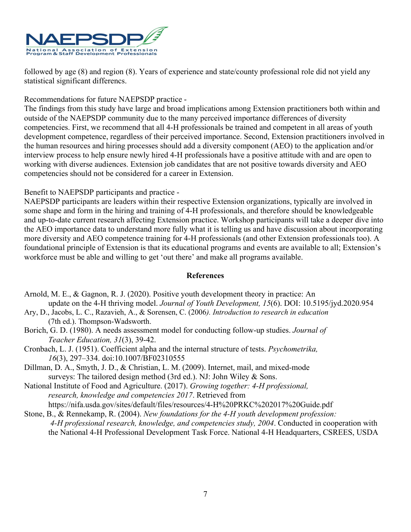

followed by age (8) and region (8). Years of experience and state/county professional role did not yield any statistical significant differencs.

## Recommendations for future NAEPSDP practice -

The findings from this study have large and broad implications among Extension practitioners both within and outside of the NAEPSDP community due to the many perceived importance differences of diversity competencies. First, we recommend that all 4-H professionals be trained and competent in all areas of youth development competence, regardless of their perceived importance. Second, Extension practitioners involved in the human resources and hiring processes should add a diversity component (AEO) to the application and/or interview process to help ensure newly hired 4-H professionals have a positive attitude with and are open to working with diverse audiences. Extension job candidates that are not positive towards diversity and AEO competencies should not be considered for a career in Extension.

Benefit to NAEPSDP participants and practice -

NAEPSDP participants are leaders within their respective Extension organizations, typically are involved in some shape and form in the hiring and training of 4-H professionals, and therefore should be knowledgeable and up-to-date current research affecting Extension practice. Workshop participants will take a deeper dive into the AEO importance data to understand more fully what it is telling us and have discussion about incorporating more diversity and AEO competence training for 4-H professionals (and other Extension professionals too). A foundational principle of Extension is that its educational programs and events are available to all; Extension's workforce must be able and willing to get 'out there' and make all programs available.

- Arnold, M. E., & Gagnon, R. J. (2020). Positive youth development theory in practice: An update on the 4-H thriving model. *Journal of Youth Development, 15*(6). DOI: 10.5195/jyd.2020.954
- Ary, D., Jacobs, L. C., Razavieh, A., & Sorensen, C. (2006*). Introduction to research in education*  (7th ed.). Thompson-Wadsworth.
- Borich, G. D. (1980). A needs assessment model for conducting follow-up studies. *Journal of Teacher Education, 31*(3), 39-42.
- Cronbach, L. J. (1951). Coefficient alpha and the internal structure of tests. *Psychometrika, 16*(3), 297–334. doi:10.1007/BF02310555
- Dillman, D. A., Smyth, J. D., & Christian, L. M. (2009). Internet, mail, and mixed-mode surveys: The tailored design method (3rd ed.). NJ: John Wiley & Sons.
- National Institute of Food and Agriculture. (2017). *Growing together: 4-H professional, research, knowledge and competencies 2017*. Retrieved from https://nifa.usda.gov/sites/default/files/resources/4-H%20PRKC%202017%20Guide.pdf
- Stone, B., & Rennekamp, R. (2004). *New foundations for the 4-H youth development profession: 4-H professional research, knowledge, and competencies study, 2004*. Conducted in cooperation with the National 4-H Professional Development Task Force. National 4-H Headquarters, CSREES, USDA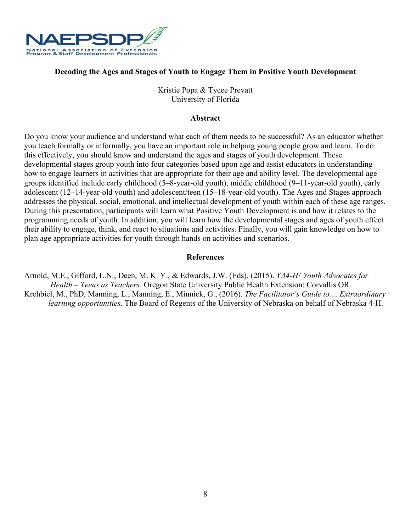

## **Decoding the Ages and Stages of Youth to Engage Them in Positive Youth Development**

Kristie Popa & Tycee Prevatt University of Florida

#### **Abstract**

Do you know your audience and understand what each of them needs to be successful? As an educator whether you teach formally or informally, you have an important role in helping young people grow and learn. To do this effectively, you should know and understand the ages and stages of youth development. These developmental stages group youth into four categories based upon age and assist educators in understanding how to engage learners in activities that are appropriate for their age and ability level. The developmental age groups identified include early childhood (5–8-year-old youth), middle childhood (9–11-year-old youth), early adolescent (12–14-year-old youth) and adolescent/teen (15–18-year-old youth). The Ages and Stages approach addresses the physical, social, emotional, and intellectual development of youth within each of these age ranges. During this presentation, participants will learn what Positive Youth Development is and how it relates to the programming needs of youth. In addition, you will learn how the developmental stages and ages of youth effect their ability to engage, think, and react to situations and activities. Finally, you will gain knowledge on how to plan age appropriate activities for youth through hands on activities and scenarios.

#### **References**

Arnold, M.E., Gifford, L.N., Deen, M. K. Y., & Edwards, J.W. (Eds). (2015). *YA4-H! Youth Advocates for Health – Teens as Teachers*. Oregon State University Public Health Extension: Corvallis OR. Krehbiel, M., PhD, Manning, L., Manning, E., Minnick, G., (2016). *The Facilitator's Guide to.... Extraordinary learning opportunities*. The Board of Regents of the University of Nebraska on behalf of Nebraska 4-H.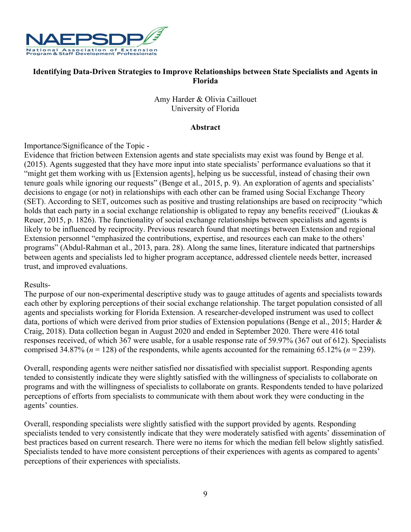

## **Identifying Data-Driven Strategies to Improve Relationships between State Specialists and Agents in Florida**

Amy Harder & Olivia Caillouet University of Florida

## **Abstract**

Importance/Significance of the Topic -

Evidence that friction between Extension agents and state specialists may exist was found by Benge et al. (2015). Agents suggested that they have more input into state specialists' performance evaluations so that it "might get them working with us [Extension agents], helping us be successful, instead of chasing their own tenure goals while ignoring our requests" (Benge et al., 2015, p. 9). An exploration of agents and specialists' decisions to engage (or not) in relationships with each other can be framed using Social Exchange Theory (SET). According to SET, outcomes such as positive and trusting relationships are based on reciprocity "which holds that each party in a social exchange relationship is obligated to repay any benefits received" (Lioukas & Reuer, 2015, p. 1826). The functionality of social exchange relationships between specialists and agents is likely to be influenced by reciprocity. Previous research found that meetings between Extension and regional Extension personnel "emphasized the contributions, expertise, and resources each can make to the others' programs" (Abdul-Rahman et al., 2013, para. 28). Along the same lines, literature indicated that partnerships between agents and specialists led to higher program acceptance, addressed clientele needs better, increased trust, and improved evaluations.

#### Results-

The purpose of our non-experimental descriptive study was to gauge attitudes of agents and specialists towards each other by exploring perceptions of their social exchange relationship. The target population consisted of all agents and specialists working for Florida Extension. A researcher-developed instrument was used to collect data, portions of which were derived from prior studies of Extension populations (Benge et al., 2015; Harder & Craig, 2018). Data collection began in August 2020 and ended in September 2020. There were 416 total responses received, of which 367 were usable, for a usable response rate of 59.97% (367 out of 612). Specialists comprised 34.87% ( $n = 128$ ) of the respondents, while agents accounted for the remaining 65.12% ( $n = 239$ ).

Overall, responding agents were neither satisfied nor dissatisfied with specialist support. Responding agents tended to consistently indicate they were slightly satisfied with the willingness of specialists to collaborate on programs and with the willingness of specialists to collaborate on grants. Respondents tended to have polarized perceptions of efforts from specialists to communicate with them about work they were conducting in the agents' counties.

Overall, responding specialists were slightly satisfied with the support provided by agents. Responding specialists tended to very consistently indicate that they were moderately satisfied with agents' dissemination of best practices based on current research. There were no items for which the median fell below slightly satisfied. Specialists tended to have more consistent perceptions of their experiences with agents as compared to agents' perceptions of their experiences with specialists.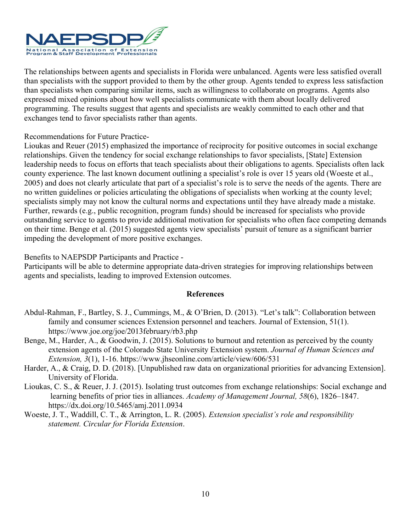

The relationships between agents and specialists in Florida were unbalanced. Agents were less satisfied overall than specialists with the support provided to them by the other group. Agents tended to express less satisfaction than specialists when comparing similar items, such as willingness to collaborate on programs. Agents also expressed mixed opinions about how well specialists communicate with them about locally delivered programming. The results suggest that agents and specialists are weakly committed to each other and that exchanges tend to favor specialists rather than agents.

Recommendations for Future Practice-

Lioukas and Reuer (2015) emphasized the importance of reciprocity for positive outcomes in social exchange relationships. Given the tendency for social exchange relationships to favor specialists, [State] Extension leadership needs to focus on efforts that teach specialists about their obligations to agents. Specialists often lack county experience. The last known document outlining a specialist's role is over 15 years old (Woeste et al., 2005) and does not clearly articulate that part of a specialist's role is to serve the needs of the agents. There are no written guidelines or policies articulating the obligations of specialists when working at the county level; specialists simply may not know the cultural norms and expectations until they have already made a mistake. Further, rewards (e.g., public recognition, program funds) should be increased for specialists who provide outstanding service to agents to provide additional motivation for specialists who often face competing demands on their time. Benge et al. (2015) suggested agents view specialists' pursuit of tenure as a significant barrier impeding the development of more positive exchanges.

Benefits to NAEPSDP Participants and Practice -

Participants will be able to determine appropriate data-driven strategies for improving relationships between agents and specialists, leading to improved Extension outcomes.

- Abdul-Rahman, F., Bartley, S. J., Cummings, M., & O'Brien, D. (2013). "Let's talk": Collaboration between family and consumer sciences Extension personnel and teachers. Journal of Extension, 51(1). https://www.joe.org/joe/2013february/rb3.php
- Benge, M., Harder, A., & Goodwin, J. (2015). Solutions to burnout and retention as perceived by the county extension agents of the Colorado State University Extension system. *Journal of Human Sciences and Extension, 3*(1), 1-16. https://www.jhseonline.com/article/view/606/531
- Harder, A., & Craig, D. D. (2018). [Unpublished raw data on organizational priorities for advancing Extension]. University of Florida.
- Lioukas, C. S., & Reuer, J. J. (2015). Isolating trust outcomes from exchange relationships: Social exchange and learning benefits of prior ties in alliances. *Academy of Management Journal, 58*(6), 1826–1847. https://dx.doi.org/10.5465/amj.2011.0934
- Woeste, J. T., Waddill, C. T., & Arrington, L. R. (2005). *Extension specialist's role and responsibility statement. Circular for Florida Extension*.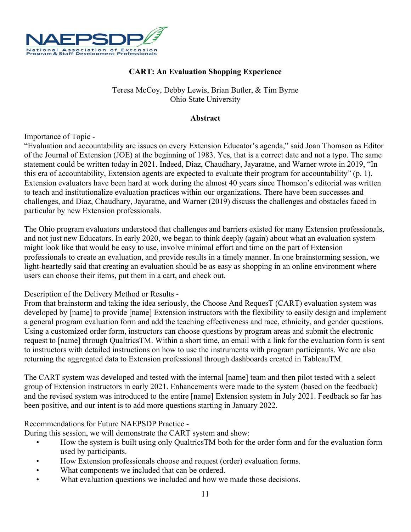

## **CART: An Evaluation Shopping Experience**

## Teresa McCoy, Debby Lewis, Brian Butler, & Tim Byrne Ohio State University

## **Abstract**

Importance of Topic -

"Evaluation and accountability are issues on every Extension Educator's agenda," said Joan Thomson as Editor of the Journal of Extension (JOE) at the beginning of 1983. Yes, that is a correct date and not a typo. The same statement could be written today in 2021. Indeed, Diaz, Chaudhary, Jayaratne, and Warner wrote in 2019, "In this era of accountability, Extension agents are expected to evaluate their program for accountability" (p. 1). Extension evaluators have been hard at work during the almost 40 years since Thomson's editorial was written to teach and institutionalize evaluation practices within our organizations. There have been successes and challenges, and Diaz, Chaudhary, Jayaratne, and Warner (2019) discuss the challenges and obstacles faced in particular by new Extension professionals.

The Ohio program evaluators understood that challenges and barriers existed for many Extension professionals, and not just new Educators. In early 2020, we began to think deeply (again) about what an evaluation system might look like that would be easy to use, involve minimal effort and time on the part of Extension professionals to create an evaluation, and provide results in a timely manner. In one brainstorming session, we light-heartedly said that creating an evaluation should be as easy as shopping in an online environment where users can choose their items, put them in a cart, and check out.

#### Description of the Delivery Method or Results -

From that brainstorm and taking the idea seriously, the Choose And RequesT (CART) evaluation system was developed by [name] to provide [name] Extension instructors with the flexibility to easily design and implement a general program evaluation form and add the teaching effectiveness and race, ethnicity, and gender questions. Using a customized order form, instructors can choose questions by program areas and submit the electronic request to [name] through QualtricsTM. Within a short time, an email with a link for the evaluation form is sent to instructors with detailed instructions on how to use the instruments with program participants. We are also returning the aggregated data to Extension professional through dashboards created in TableauTM.

The CART system was developed and tested with the internal [name] team and then pilot tested with a select group of Extension instructors in early 2021. Enhancements were made to the system (based on the feedback) and the revised system was introduced to the entire [name] Extension system in July 2021. Feedback so far has been positive, and our intent is to add more questions starting in January 2022.

#### Recommendations for Future NAEPSDP Practice -

During this session, we will demonstrate the CART system and show:

- How the system is built using only QualtricsTM both for the order form and for the evaluation form used by participants.
- How Extension professionals choose and request (order) evaluation forms.
- What components we included that can be ordered.
- What evaluation questions we included and how we made those decisions.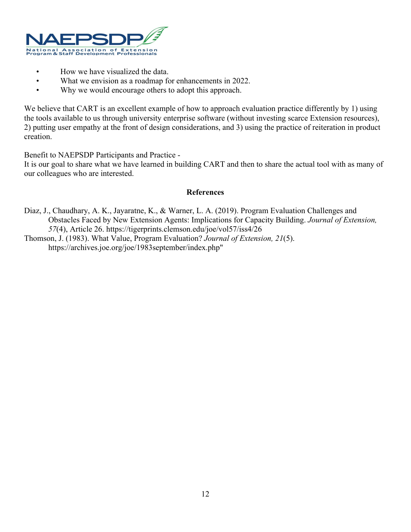

- How we have visualized the data.
- What we envision as a roadmap for enhancements in 2022.
- Why we would encourage others to adopt this approach.

We believe that CART is an excellent example of how to approach evaluation practice differently by 1) using the tools available to us through university enterprise software (without investing scarce Extension resources), 2) putting user empathy at the front of design considerations, and 3) using the practice of reiteration in product creation.

Benefit to NAEPSDP Participants and Practice -

It is our goal to share what we have learned in building CART and then to share the actual tool with as many of our colleagues who are interested.

- Diaz, J., Chaudhary, A. K., Jayaratne, K., & Warner, L. A. (2019). Program Evaluation Challenges and Obstacles Faced by New Extension Agents: Implications for Capacity Building. *Journal of Extension, 57*(4), Article 26. https://tigerprints.clemson.edu/joe/vol57/iss4/26
- Thomson, J. (1983). What Value, Program Evaluation? *Journal of Extension, 21*(5). https://archives.joe.org/joe/1983september/index.php"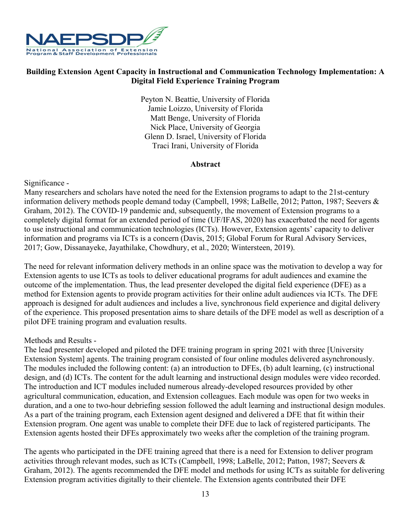

## **Building Extension Agent Capacity in Instructional and Communication Technology Implementation: A Digital Field Experience Training Program**

Peyton N. Beattie, University of Florida Jamie Loizzo, University of Florida Matt Benge, University of Florida Nick Place, University of Georgia Glenn D. Israel, University of Florida Traci Irani, University of Florida

#### **Abstract**

## Significance -

Many researchers and scholars have noted the need for the Extension programs to adapt to the 21st-century information delivery methods people demand today (Campbell, 1998; LaBelle, 2012; Patton, 1987; Seevers & Graham, 2012). The COVID-19 pandemic and, subsequently, the movement of Extension programs to a completely digital format for an extended period of time (UF/IFAS, 2020) has exacerbated the need for agents to use instructional and communication technologies (ICTs). However, Extension agents' capacity to deliver information and programs via ICTs is a concern (Davis, 2015; Global Forum for Rural Advisory Services, 2017; Gow, Dissanayeke, Jayathilake, Chowdhury, et al., 2020; Wintersteen, 2019).

The need for relevant information delivery methods in an online space was the motivation to develop a way for Extension agents to use ICTs as tools to deliver educational programs for adult audiences and examine the outcome of the implementation. Thus, the lead presenter developed the digital field experience (DFE) as a method for Extension agents to provide program activities for their online adult audiences via ICTs. The DFE approach is designed for adult audiences and includes a live, synchronous field experience and digital delivery of the experience. This proposed presentation aims to share details of the DFE model as well as description of a pilot DFE training program and evaluation results.

#### Methods and Results -

The lead presenter developed and piloted the DFE training program in spring 2021 with three [University Extension System] agents. The training program consisted of four online modules delivered asynchronously. The modules included the following content: (a) an introduction to DFEs, (b) adult learning, (c) instructional design, and (d) ICTs. The content for the adult learning and instructional design modules were video recorded. The introduction and ICT modules included numerous already-developed resources provided by other agricultural communication, education, and Extension colleagues. Each module was open for two weeks in duration, and a one to two-hour debriefing session followed the adult learning and instructional design modules. As a part of the training program, each Extension agent designed and delivered a DFE that fit within their Extension program. One agent was unable to complete their DFE due to lack of registered participants. The Extension agents hosted their DFEs approximately two weeks after the completion of the training program.

The agents who participated in the DFE training agreed that there is a need for Extension to deliver program activities through relevant modes, such as ICTs (Campbell, 1998; LaBelle, 2012; Patton, 1987; Seevers & Graham, 2012). The agents recommended the DFE model and methods for using ICTs as suitable for delivering Extension program activities digitally to their clientele. The Extension agents contributed their DFE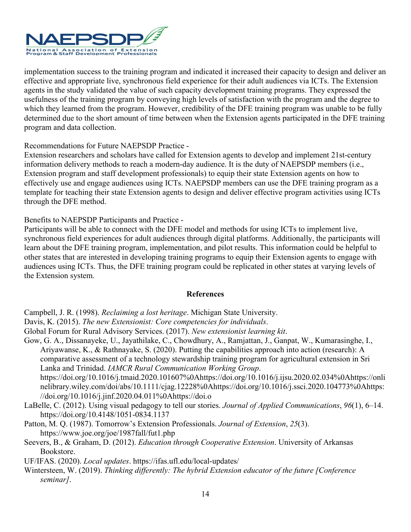

implementation success to the training program and indicated it increased their capacity to design and deliver an effective and appropriate live, synchronous field experience for their adult audiences via ICTs. The Extension agents in the study validated the value of such capacity development training programs. They expressed the usefulness of the training program by conveying high levels of satisfaction with the program and the degree to which they learned from the program. However, credibility of the DFE training program was unable to be fully determined due to the short amount of time between when the Extension agents participated in the DFE training program and data collection.

Recommendations for Future NAEPSDP Practice -

Extension researchers and scholars have called for Extension agents to develop and implement 21st-century information delivery methods to reach a modern-day audience. It is the duty of NAEPSDP members (i.e., Extension program and staff development professionals) to equip their state Extension agents on how to effectively use and engage audiences using ICTs. NAEPSDP members can use the DFE training program as a template for teaching their state Extension agents to design and deliver effective program activities using ICTs through the DFE method.

Benefits to NAEPSDP Participants and Practice -

Participants will be able to connect with the DFE model and methods for using ICTs to implement live, synchronous field experiences for adult audiences through digital platforms. Additionally, the participants will learn about the DFE training program, implementation, and pilot results. This information could be helpful to other states that are interested in developing training programs to equip their Extension agents to engage with audiences using ICTs. Thus, the DFE training program could be replicated in other states at varying levels of the Extension system.

## **References**

Campbell, J. R. (1998). *Reclaiming a lost heritage*. Michigan State University.

- Davis, K. (2015). *The new Extensionist: Core competencies for individuals*.
- Global Forum for Rural Advisory Services. (2017). *New extensionist learning kit*.
- Gow, G. A., Dissanayeke, U., Jayathilake, C., Chowdhury, A., Ramjattan, J., Ganpat, W., Kumarasinghe, I., Ariyawanse, K., & Rathnayake, S. (2020). Putting the capabilities approach into action (research): A comparative assessment of a technology stewardship training program for agricultural extension in Sri Lanka and Trinidad. *IAMCR Rural Communication Working Group*.

https://doi.org/10.1016/j.tmaid.2020.101607%0Ahttps://doi.org/10.1016/j.ijsu.2020.02.034%0Ahttps://onli nelibrary.wiley.com/doi/abs/10.1111/cjag.12228%0Ahttps://doi.org/10.1016/j.ssci.2020.104773%0Ahttps: //doi.org/10.1016/j.jinf.2020.04.011%0Ahttps://doi.o

- LaBelle, C. (2012). Using visual pedagogy to tell our stories. *Journal of Applied Communications*, *96*(1), 6–14. https://doi.org/10.4148/1051-0834.1137
- Patton, M. Q. (1987). Tomorrow's Extension Professionals. *Journal of Extension*, *25*(3). https://www.joe.org/joe/1987fall/fut1.php
- Seevers, B., & Graham, D. (2012). *Education through Cooperative Extension*. University of Arkansas Bookstore.

UF/IFAS. (2020). *Local updates*. https://ifas.ufl.edu/local-updates/

Wintersteen, W. (2019). *Thinking differently: The hybrid Extension educator of the future [Conference seminar]*.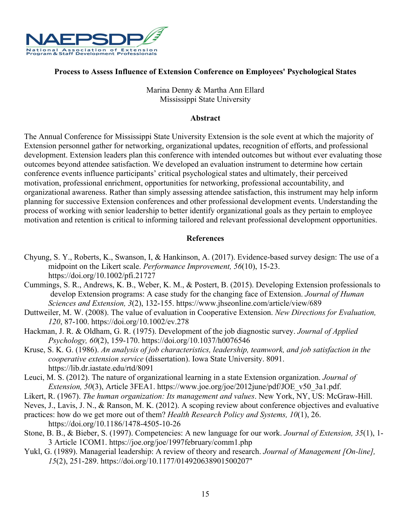

## **Process to Assess Influence of Extension Conference on Employees' Psychological States**

Marina Denny & Martha Ann Ellard Mississippi State University

#### **Abstract**

The Annual Conference for Mississippi State University Extension is the sole event at which the majority of Extension personnel gather for networking, organizational updates, recognition of efforts, and professional development. Extension leaders plan this conference with intended outcomes but without ever evaluating those outcomes beyond attendee satisfaction. We developed an evaluation instrument to determine how certain conference events influence participants' critical psychological states and ultimately, their perceived motivation, professional enrichment, opportunities for networking, professional accountability, and organizational awareness. Rather than simply assessing attendee satisfaction, this instrument may help inform planning for successive Extension conferences and other professional development events. Understanding the process of working with senior leadership to better identify organizational goals as they pertain to employee motivation and retention is critical to informing tailored and relevant professional development opportunities.

- Chyung, S. Y., Roberts, K., Swanson, I, & Hankinson, A. (2017). Evidence-based survey design: The use of a midpoint on the Likert scale. *Performance Improvement, 56*(10), 15-23. https://doi.org/10.1002/pfi.21727
- Cummings, S. R., Andrews, K. B., Weber, K. M., & Postert, B. (2015). Developing Extension professionals to develop Extension programs: A case study for the changing face of Extension. *Journal of Human Sciences and Extension, 3*(2), 132-155. https://www.jhseonline.com/article/view/689
- Duttweiler, M. W. (2008). The value of evaluation in Cooperative Extension. *New Directions for Evaluation, 120*, 87-100. https://doi.org/10.1002/ev.278
- Hackman, J. R. & Oldham, G. R. (1975). Development of the job diagnostic survey. *Journal of Applied Psychology, 60*(2), 159-170. https://doi.org/10.1037/h0076546
- Kruse, S. K. G. (1986). *An analysis of job characteristics, leadership, teamwork, and job satisfaction in the cooperative extension service* (dissertation). Iowa State University. 8091. https://lib.dr.iastate.edu/rtd/8091
- Leuci, M. S. (2012). The nature of organizational learning in a state Extension organization. *Journal of Extension, 50(3), Article 3FEA1. https://www.joe.org/joe/2012june/pdf/JOE v50 3a1.pdf.*
- Likert, R. (1967). *The human organization: Its management and values*. New York, NY, US: McGraw-Hill.
- Neves, J., Lavis, J. N., & Ranson, M. K. (2012). A scoping review about conference objectives and evaluative
- practices: how do we get more out of them? *Health Research Policy and Systems, 10*(1), 26. https://doi.org/10.1186/1478-4505-10-26
- Stone, B. B., & Bieber, S. (1997). Competencies: A new language for our work. *Journal of Extension, 35*(1), 1- 3 Article 1COM1. https://joe.org/joe/1997february/comm1.php
- Yukl, G. (1989). Managerial leadership: A review of theory and research. *Journal of Management [On-line], 15*(2), 251-289. https://doi.org/10.1177/014920638901500207"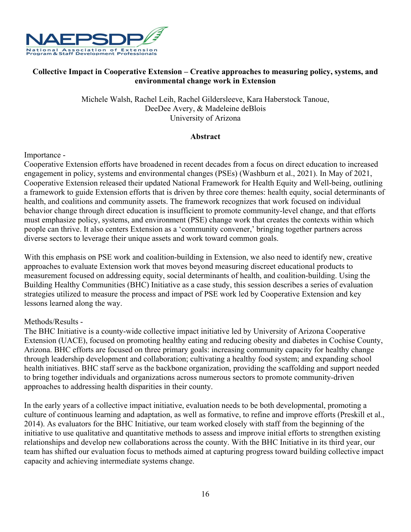

## **Collective Impact in Cooperative Extension – Creative approaches to measuring policy, systems, and environmental change work in Extension**

Michele Walsh, Rachel Leih, Rachel Gildersleeve, Kara Haberstock Tanoue, DeeDee Avery, & Madeleine deBlois University of Arizona

#### **Abstract**

Importance -

Cooperative Extension efforts have broadened in recent decades from a focus on direct education to increased engagement in policy, systems and environmental changes (PSEs) (Washburn et al., 2021). In May of 2021, Cooperative Extension released their updated National Framework for Health Equity and Well-being, outlining a framework to guide Extension efforts that is driven by three core themes: health equity, social determinants of health, and coalitions and community assets. The framework recognizes that work focused on individual behavior change through direct education is insufficient to promote community-level change, and that efforts must emphasize policy, systems, and environment (PSE) change work that creates the contexts within which people can thrive. It also centers Extension as a 'community convener,' bringing together partners across diverse sectors to leverage their unique assets and work toward common goals.

With this emphasis on PSE work and coalition-building in Extension, we also need to identify new, creative approaches to evaluate Extension work that moves beyond measuring discreet educational products to measurement focused on addressing equity, social determinants of health, and coalition-building. Using the Building Healthy Communities (BHC) Initiative as a case study, this session describes a series of evaluation strategies utilized to measure the process and impact of PSE work led by Cooperative Extension and key lessons learned along the way.

## Methods/Results -

The BHC Initiative is a county-wide collective impact initiative led by University of Arizona Cooperative Extension (UACE), focused on promoting healthy eating and reducing obesity and diabetes in Cochise County, Arizona. BHC efforts are focused on three primary goals: increasing community capacity for healthy change through leadership development and collaboration; cultivating a healthy food system; and expanding school health initiatives. BHC staff serve as the backbone organization, providing the scaffolding and support needed to bring together individuals and organizations across numerous sectors to promote community-driven approaches to addressing health disparities in their county.

In the early years of a collective impact initiative, evaluation needs to be both developmental, promoting a culture of continuous learning and adaptation, as well as formative, to refine and improve efforts (Preskill et al., 2014). As evaluators for the BHC Initiative, our team worked closely with staff from the beginning of the initiative to use qualitative and quantitative methods to assess and improve initial efforts to strengthen existing relationships and develop new collaborations across the county. With the BHC Initiative in its third year, our team has shifted our evaluation focus to methods aimed at capturing progress toward building collective impact capacity and achieving intermediate systems change.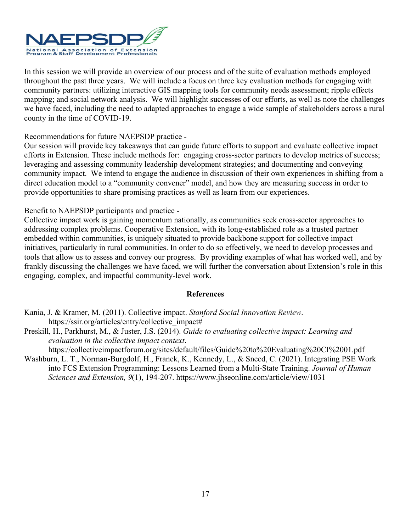

In this session we will provide an overview of our process and of the suite of evaluation methods employed throughout the past three years. We will include a focus on three key evaluation methods for engaging with community partners: utilizing interactive GIS mapping tools for community needs assessment; ripple effects mapping; and social network analysis. We will highlight successes of our efforts, as well as note the challenges we have faced, including the need to adapted approaches to engage a wide sample of stakeholders across a rural county in the time of COVID-19.

Recommendations for future NAEPSDP practice -

Our session will provide key takeaways that can guide future efforts to support and evaluate collective impact efforts in Extension. These include methods for: engaging cross-sector partners to develop metrics of success; leveraging and assessing community leadership development strategies; and documenting and conveying community impact. We intend to engage the audience in discussion of their own experiences in shifting from a direct education model to a "community convener" model, and how they are measuring success in order to provide opportunities to share promising practices as well as learn from our experiences.

Benefit to NAEPSDP participants and practice -

Collective impact work is gaining momentum nationally, as communities seek cross-sector approaches to addressing complex problems. Cooperative Extension, with its long-established role as a trusted partner embedded within communities, is uniquely situated to provide backbone support for collective impact initiatives, particularly in rural communities. In order to do so effectively, we need to develop processes and tools that allow us to assess and convey our progress. By providing examples of what has worked well, and by frankly discussing the challenges we have faced, we will further the conversation about Extension's role in this engaging, complex, and impactful community-level work.

## **References**

- Kania, J. & Kramer, M. (2011). Collective impact. *Stanford Social Innovation Review*. https://ssir.org/articles/entry/collective\_impact#
- Preskill, H., Parkhurst, M., & Juster, J.S. (2014). *Guide to evaluating collective impact: Learning and evaluation in the collective impact context*.

https://collectiveimpactforum.org/sites/default/files/Guide%20to%20Evaluating%20CI%2001.pdf

Washburn, L. T., Norman-Burgdolf, H., Franck, K., Kennedy, L., & Sneed, C. (2021). Integrating PSE Work into FCS Extension Programming: Lessons Learned from a Multi-State Training. *Journal of Human Sciences and Extension, 9*(1), 194-207. https://www.jhseonline.com/article/view/1031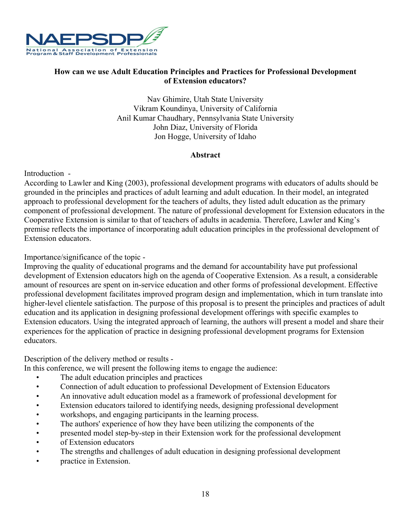

## **How can we use Adult Education Principles and Practices for Professional Development of Extension educators?**

Nav Ghimire, Utah State University Vikram Koundinya, University of California Anil Kumar Chaudhary, Pennsylvania State University John Diaz, University of Florida Jon Hogge, University of Idaho

## **Abstract**

Introduction -

According to Lawler and King (2003), professional development programs with educators of adults should be grounded in the principles and practices of adult learning and adult education. In their model, an integrated approach to professional development for the teachers of adults, they listed adult education as the primary component of professional development. The nature of professional development for Extension educators in the Cooperative Extension is similar to that of teachers of adults in academia. Therefore, Lawler and King's premise reflects the importance of incorporating adult education principles in the professional development of Extension educators.

Importance/significance of the topic -

Improving the quality of educational programs and the demand for accountability have put professional development of Extension educators high on the agenda of Cooperative Extension. As a result, a considerable amount of resources are spent on in-service education and other forms of professional development. Effective professional development facilitates improved program design and implementation, which in turn translate into higher-level clientele satisfaction. The purpose of this proposal is to present the principles and practices of adult education and its application in designing professional development offerings with specific examples to Extension educators. Using the integrated approach of learning, the authors will present a model and share their experiences for the application of practice in designing professional development programs for Extension educators.

Description of the delivery method or results -

In this conference, we will present the following items to engage the audience:

- The adult education principles and practices
- Connection of adult education to professional Development of Extension Educators
- An innovative adult education model as a framework of professional development for
- Extension educators tailored to identifying needs, designing professional development
- workshops, and engaging participants in the learning process.
- The authors' experience of how they have been utilizing the components of the
- presented model step-by-step in their Extension work for the professional development
- of Extension educators
- The strengths and challenges of adult education in designing professional development
- practice in Extension.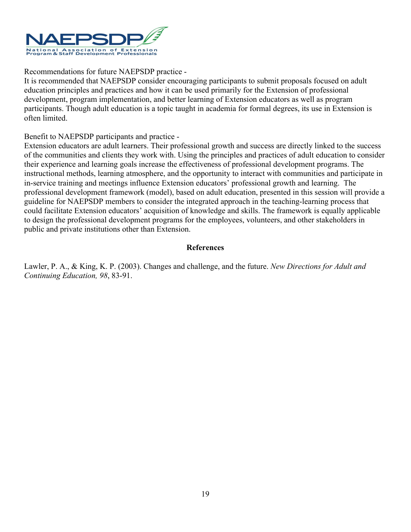

## Recommendations for future NAEPSDP practice -

It is recommended that NAEPSDP consider encouraging participants to submit proposals focused on adult education principles and practices and how it can be used primarily for the Extension of professional development, program implementation, and better learning of Extension educators as well as program participants. Though adult education is a topic taught in academia for formal degrees, its use in Extension is often limited.

Benefit to NAEPSDP participants and practice -

Extension educators are adult learners. Their professional growth and success are directly linked to the success of the communities and clients they work with. Using the principles and practices of adult education to consider their experience and learning goals increase the effectiveness of professional development programs. The instructional methods, learning atmosphere, and the opportunity to interact with communities and participate in in-service training and meetings influence Extension educators' professional growth and learning. The professional development framework (model), based on adult education, presented in this session will provide a guideline for NAEPSDP members to consider the integrated approach in the teaching-learning process that could facilitate Extension educators' acquisition of knowledge and skills. The framework is equally applicable to design the professional development programs for the employees, volunteers, and other stakeholders in public and private institutions other than Extension.

## **References**

Lawler, P. A., & King, K. P. (2003). Changes and challenge, and the future. *New Directions for Adult and Continuing Education, 98*, 83-91.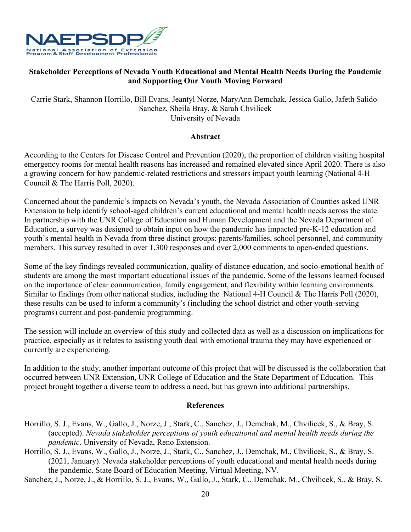

## **Stakeholder Perceptions of Nevada Youth Educational and Mental Health Needs During the Pandemic and Supporting Our Youth Moving Forward**

Carrie Stark, Shannon Horrillo, Bill Evans, Jeantyl Norze, MaryAnn Demchak, Jessica Gallo, Jafeth Salido-Sanchez, Sheila Bray, & Sarah Chvilicek University of Nevada

#### **Abstract**

According to the Centers for Disease Control and Prevention (2020), the proportion of children visiting hospital emergency rooms for mental health reasons has increased and remained elevated since April 2020. There is also a growing concern for how pandemic-related restrictions and stressors impact youth learning (National 4-H Council & The Harris Poll, 2020).

Concerned about the pandemic's impacts on Nevada's youth, the Nevada Association of Counties asked UNR Extension to help identify school-aged children's current educational and mental health needs across the state. In partnership with the UNR College of Education and Human Development and the Nevada Department of Education, a survey was designed to obtain input on how the pandemic has impacted pre-K-12 education and youth's mental health in Nevada from three distinct groups: parents/families, school personnel, and community members. This survey resulted in over 1,300 responses and over 2,000 comments to open-ended questions.

Some of the key findings revealed communication, quality of distance education, and socio-emotional health of students are among the most important educational issues of the pandemic. Some of the lessons learned focused on the importance of clear communication, family engagement, and flexibility within learning environments. Similar to findings from other national studies, including the National 4-H Council & The Harris Poll (2020), these results can be used to inform a community's (including the school district and other youth-serving programs) current and post-pandemic programming.

The session will include an overview of this study and collected data as well as a discussion on implications for practice, especially as it relates to assisting youth deal with emotional trauma they may have experienced or currently are experiencing.

In addition to the study, another important outcome of this project that will be discussed is the collaboration that occurred between UNR Extension, UNR College of Education and the State Department of Education. This project brought together a diverse team to address a need, but has grown into additional partnerships.

#### **References**

- Horrillo, S. J., Evans, W., Gallo, J., Norze, J., Stark, C., Sanchez, J., Demchak, M., Chvilicek, S., & Bray, S. (accepted). *Nevada stakeholder perceptions of youth educational and mental health needs during the pandemic*. University of Nevada, Reno Extension.
- Horrillo, S. J., Evans, W., Gallo, J., Norze, J., Stark, C., Sanchez, J., Demchak, M., Chvilicek, S., & Bray, S. (2021, January). Nevada stakeholder perceptions of youth educational and mental health needs during the pandemic. State Board of Education Meeting, Virtual Meeting, NV.

Sanchez, J., Norze, J., & Horrillo, S. J., Evans, W., Gallo, J., Stark, C., Demchak, M., Chvilicek, S., & Bray, S.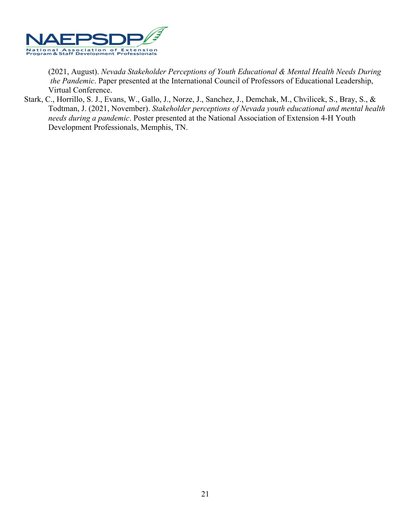

(2021, August). *Nevada Stakeholder Perceptions of Youth Educational & Mental Health Needs During the Pandemic*. Paper presented at the International Council of Professors of Educational Leadership, Virtual Conference.

Stark, C., Horrillo, S. J., Evans, W., Gallo, J., Norze, J., Sanchez, J., Demchak, M., Chvilicek, S., Bray, S., & Todtman, J. (2021, November). *Stakeholder perceptions of Nevada youth educational and mental health needs during a pandemic*. Poster presented at the National Association of Extension 4-H Youth Development Professionals, Memphis, TN.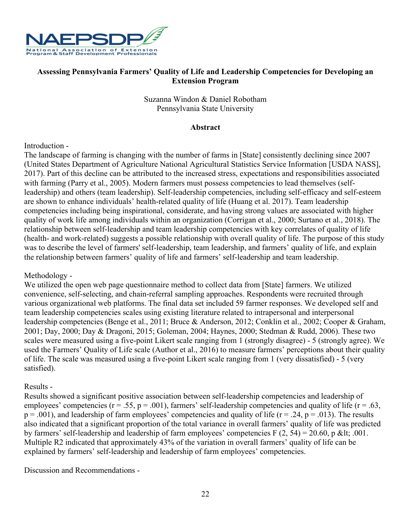

## **Assessing Pennsylvania Farmers' Quality of Life and Leadership Competencies for Developing an Extension Program**

Suzanna Windon & Daniel Robotham Pennsylvania State University

#### **Abstract**

## Introduction -

The landscape of farming is changing with the number of farms in [State] consistently declining since 2007 (United States Department of Agriculture National Agricultural Statistics Service Information [USDA NASS], 2017). Part of this decline can be attributed to the increased stress, expectations and responsibilities associated with farming (Parry et al., 2005). Modern farmers must possess competencies to lead themselves (selfleadership) and others (team leadership). Self-leadership competencies, including self-efficacy and self-esteem are shown to enhance individuals' health-related quality of life (Huang et al. 2017). Team leadership competencies including being inspirational, considerate, and having strong values are associated with higher quality of work life among individuals within an organization (Corrigan et al., 2000; Surtano et al., 2018). The relationship between self-leadership and team leadership competencies with key correlates of quality of life (health- and work-related) suggests a possible relationship with overall quality of life. The purpose of this study was to describe the level of farmers' self-leadership, team leadership, and farmers' quality of life, and explain the relationship between farmers' quality of life and farmers' self-leadership and team leadership.

## Methodology -

We utilized the open web page questionnaire method to collect data from [State] farmers. We utilized convenience, self-selecting, and chain-referral sampling approaches. Respondents were recruited through various organizational web platforms. The final data set included 59 farmer responses. We developed self and team leadership competencies scales using existing literature related to intrapersonal and interpersonal leadership competencies (Benge et al., 2011; Bruce & Anderson, 2012; Conklin et al., 2002; Cooper & Graham, 2001; Day, 2000; Day & Dragoni, 2015; Goleman, 2004; Haynes, 2000; Stedman & Rudd, 2006). These two scales were measured using a five-point Likert scale ranging from 1 (strongly disagree) - 5 (strongly agree). We used the Farmers' Quality of Life scale (Author et al., 2016) to measure farmers' perceptions about their quality of life. The scale was measured using a five-point Likert scale ranging from 1 (very dissatisfied) - 5 (very satisfied).

#### Results -

Results showed a significant positive association between self-leadership competencies and leadership of employees' competencies ( $r = .55$ ,  $p = .001$ ), farmers' self-leadership competencies and quality of life ( $r = .63$ ,  $p = .001$ ), and leadership of farm employees' competencies and quality of life ( $r = .24$ ,  $p = .013$ ). The results also indicated that a significant proportion of the total variance in overall farmers' quality of life was predicted by farmers' self-leadership and leadership of farm employees' competencies  $F(2, 54) = 20.60$ , p &It; .001. Multiple R2 indicated that approximately 43% of the variation in overall farmers' quality of life can be explained by farmers' self-leadership and leadership of farm employees' competencies.

Discussion and Recommendations -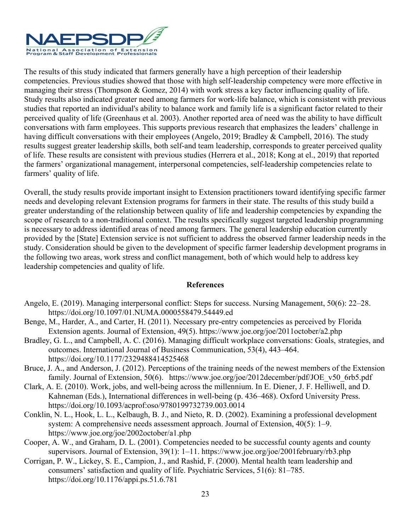

The results of this study indicated that farmers generally have a high perception of their leadership competencies. Previous studies showed that those with high self-leadership competency were more effective in managing their stress (Thompson & Gomez, 2014) with work stress a key factor influencing quality of life. Study results also indicated greater need among farmers for work-life balance, which is consistent with previous studies that reported an individual's ability to balance work and family life is a significant factor related to their perceived quality of life (Greenhaus et al. 2003). Another reported area of need was the ability to have difficult conversations with farm employees. This supports previous research that emphasizes the leaders' challenge in having difficult conversations with their employees (Angelo, 2019; Bradley & Campbell, 2016). The study results suggest greater leadership skills, both self-and team leadership, corresponds to greater perceived quality of life. These results are consistent with previous studies (Herrera et al., 2018; Kong at el., 2019) that reported the farmers' organizational management, interpersonal competencies, self-leadership competencies relate to farmers' quality of life.

Overall, the study results provide important insight to Extension practitioners toward identifying specific farmer needs and developing relevant Extension programs for farmers in their state. The results of this study build a greater understanding of the relationship between quality of life and leadership competencies by expanding the scope of research to a non-traditional context. The results specifically suggest targeted leadership programming is necessary to address identified areas of need among farmers. The general leadership education currently provided by the [State] Extension service is not sufficient to address the observed farmer leadership needs in the study. Consideration should be given to the development of specific farmer leadership development programs in the following two areas, work stress and conflict management, both of which would help to address key leadership competencies and quality of life.

- Angelo, E. (2019). Managing interpersonal conflict: Steps for success. Nursing Management, 50(6): 22–28. https://doi.org/10.1097/01.NUMA.0000558479.54449.ed
- Benge, M., Harder, A., and Carter, H. (2011). Necessary pre-entry competencies as perceived by Florida Extension agents. Journal of Extension, 49(5). https://www.joe.org/joe/2011october/a2.php
- Bradley, G. L., and Campbell, A. C. (2016). Managing difficult workplace conversations: Goals, strategies, and outcomes. International Journal of Business Communication, 53(4), 443–464. https://doi.org/10.1177/2329488414525468
- Bruce, J. A., and Anderson, J. (2012). Perceptions of the training needs of the newest members of the Extension family. Journal of Extension, 50(6). https://www.joe.org/joe/2012december/pdf/JOE\_v50\_6rb5.pdf
- Clark, A. E. (2010). Work, jobs, and well-being across the millennium. In E. Diener, J. F. Helliwell, and D. Kahneman (Eds.), International differences in well-being (p. 436–468). Oxford University Press. https://doi.org/10.1093/acprof:oso/9780199732739.003.0014
- Conklin, N. L., Hook, L. L., Kelbaugh, B. J., and Nieto, R. D. (2002). Examining a professional development system: A comprehensive needs assessment approach. Journal of Extension, 40(5): 1–9. https://www.joe.org/joe/2002october/a1.php
- Cooper, A. W., and Graham, D. L. (2001). Competencies needed to be successful county agents and county supervisors. Journal of Extension, 39(1): 1–11. https://www.joe.org/joe/2001february/rb3.php
- Corrigan, P. W., Lickey, S. E., Campion, J., and Rashid, F. (2000). Mental health team leadership and consumers' satisfaction and quality of life. Psychiatric Services, 51(6): 81–785. https://doi.org/10.1176/appi.ps.51.6.781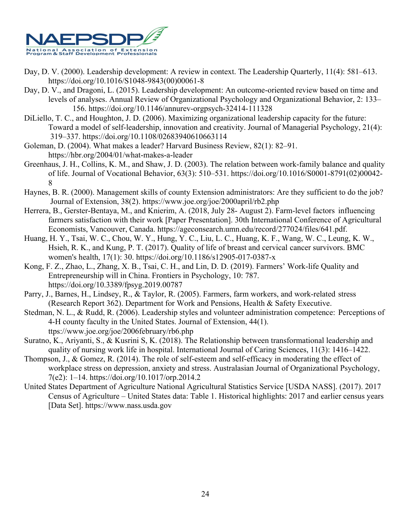

- Day, D. V. (2000). Leadership development: A review in context. The Leadership Quarterly, 11(4): 581–613. https://doi.org/10.1016/S1048-9843(00)00061-8
- Day, D. V., and Dragoni, L. (2015). Leadership development: An outcome-oriented review based on time and levels of analyses. Annual Review of Organizational Psychology and Organizational Behavior, 2: 133– 156. https://doi.org/10.1146/annurev-orgpsych-32414-111328
- DiLiello, T. C., and Houghton, J. D. (2006). Maximizing organizational leadership capacity for the future: Toward a model of self‐leadership, innovation and creativity. Journal of Managerial Psychology, 21(4): 319–337. https://doi.org/10.1108/02683940610663114
- Goleman, D. (2004). What makes a leader? Harvard Business Review, 82(1): 82–91. https://hbr.org/2004/01/what-makes-a-leader
- Greenhaus, J. H., Collins, K. M., and Shaw, J. D. (2003). The relation between work-family balance and quality of life. Journal of Vocational Behavior, 63(3): 510–531. https://doi.org/10.1016/S0001-8791(02)00042- 8
- Haynes, B. R. (2000). Management skills of county Extension administrators: Are they sufficient to do the job? Journal of Extension, 38(2). https://www.joe.org/joe/2000april/rb2.php
- Herrera, B., Gerster-Bentaya, M., and Knierim, A. (2018, July 28- August 2). Farm-level factors influencing farmers satisfaction with their work [Paper Presentation]. 30th International Conference of Agricultural Economists, Vancouver, Canada. https://ageconsearch.umn.edu/record/277024/files/641.pdf.
- Huang, H. Y., Tsai, W. C., Chou, W. Y., Hung, Y. C., Liu, L. C., Huang, K. F., Wang, W. C., Leung, K. W., Hsieh, R. K., and Kung, P. T. (2017). Quality of life of breast and cervical cancer survivors. BMC women's health, 17(1): 30. https://doi.org/10.1186/s12905-017-0387-x
- Kong, F. Z., Zhao, L., Zhang, X. B., Tsai, C. H., and Lin, D. D. (2019). Farmers' Work-life Quality and Entrepreneurship will in China. Frontiers in Psychology, 10: 787. https://doi.org/10.3389/fpsyg.2019.00787
- Parry, J., Barnes, H., Lindsey, R., & Taylor, R. (2005). Farmers, farm workers, and work-related stress (Research Report 362). Department for Work and Pensions, Health & Safety Executive.
- Stedman, N. L., & Rudd, R. (2006). Leadership styles and volunteer administration competence: Perceptions of 4-H county faculty in the United States. Journal of Extension, 44(1). ttps://www.joe.org/joe/2006february/rb6.php
- Suratno, K., Ariyanti, S., & Kusrini S, K. (2018). The Relationship between transformational leadership and quality of nursing work life in hospital. International Journal of Caring Sciences, 11(3): 1416–1422.
- Thompson, J., & Gomez, R. (2014). The role of self-esteem and self-efficacy in moderating the effect of workplace stress on depression, anxiety and stress. Australasian Journal of Organizational Psychology, 7(e2): 1–14. https://doi.org/10.1017/orp.2014.2
- United States Department of Agriculture National Agricultural Statistics Service [USDA NASS]. (2017). 2017 Census of Agriculture – United States data: Table 1. Historical highlights: 2017 and earlier census years [Data Set]. https://www.nass.usda.gov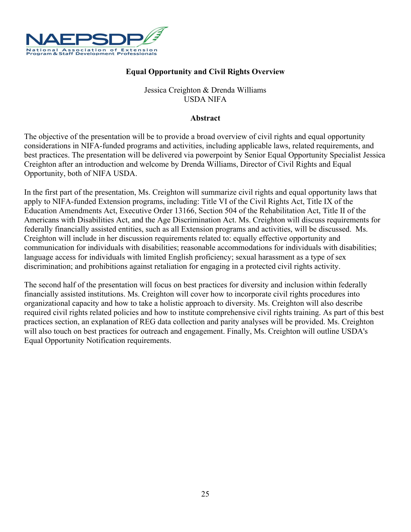

## **Equal Opportunity and Civil Rights Overview**

## Jessica Creighton & Drenda Williams USDA NIFA

#### **Abstract**

The objective of the presentation will be to provide a broad overview of civil rights and equal opportunity considerations in NIFA-funded programs and activities, including applicable laws, related requirements, and best practices. The presentation will be delivered via powerpoint by Senior Equal Opportunity Specialist Jessica Creighton after an introduction and welcome by Drenda Williams, Director of Civil Rights and Equal Opportunity, both of NIFA USDA.

In the first part of the presentation, Ms. Creighton will summarize civil rights and equal opportunity laws that apply to NIFA-funded Extension programs, including: Title VI of the Civil Rights Act, Title IX of the Education Amendments Act, Executive Order 13166, Section 504 of the Rehabilitation Act, Title II of the Americans with Disabilities Act, and the Age Discrimination Act. Ms. Creighton will discuss requirements for federally financially assisted entities, such as all Extension programs and activities, will be discussed. Ms. Creighton will include in her discussion requirements related to: equally effective opportunity and communication for individuals with disabilities; reasonable accommodations for individuals with disabilities; language access for individuals with limited English proficiency; sexual harassment as a type of sex discrimination; and prohibitions against retaliation for engaging in a protected civil rights activity.

The second half of the presentation will focus on best practices for diversity and inclusion within federally financially assisted institutions. Ms. Creighton will cover how to incorporate civil rights procedures into organizational capacity and how to take a holistic approach to diversity. Ms. Creighton will also describe required civil rights related policies and how to institute comprehensive civil rights training. As part of this best practices section, an explanation of REG data collection and parity analyses will be provided. Ms. Creighton will also touch on best practices for outreach and engagement. Finally, Ms. Creighton will outline USDA's Equal Opportunity Notification requirements.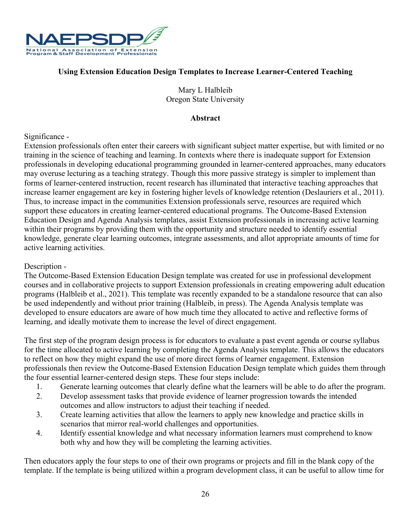

## **Using Extension Education Design Templates to Increase Learner-Centered Teaching**

Mary L Halbleib Oregon State University

## **Abstract**

## Significance -

Extension professionals often enter their careers with significant subject matter expertise, but with limited or no training in the science of teaching and learning. In contexts where there is inadequate support for Extension professionals in developing educational programming grounded in learner-centered approaches, many educators may overuse lecturing as a teaching strategy. Though this more passive strategy is simpler to implement than forms of learner-centered instruction, recent research has illuminated that interactive teaching approaches that increase learner engagement are key in fostering higher levels of knowledge retention (Deslauriers et al., 2011). Thus, to increase impact in the communities Extension professionals serve, resources are required which support these educators in creating learner-centered educational programs. The Outcome-Based Extension Education Design and Agenda Analysis templates, assist Extension professionals in increasing active learning within their programs by providing them with the opportunity and structure needed to identify essential knowledge, generate clear learning outcomes, integrate assessments, and allot appropriate amounts of time for active learning activities.

#### Description -

The Outcome-Based Extension Education Design template was created for use in professional development courses and in collaborative projects to support Extension professionals in creating empowering adult education programs (Halbleib et al., 2021). This template was recently expanded to be a standalone resource that can also be used independently and without prior training (Halbleib, in press). The Agenda Analysis template was developed to ensure educators are aware of how much time they allocated to active and reflective forms of learning, and ideally motivate them to increase the level of direct engagement.

The first step of the program design process is for educators to evaluate a past event agenda or course syllabus for the time allocated to active learning by completing the Agenda Analysis template. This allows the educators to reflect on how they might expand the use of more direct forms of learner engagement. Extension professionals then review the Outcome-Based Extension Education Design template which guides them through the four essential learner-centered design steps. These four steps include:

- 1. Generate learning outcomes that clearly define what the learners will be able to do after the program.
- 2. Develop assessment tasks that provide evidence of learner progression towards the intended outcomes and allow instructors to adjust their teaching if needed.
- 3. Create learning activities that allow the learners to apply new knowledge and practice skills in scenarios that mirror real-world challenges and opportunities.
- 4. Identify essential knowledge and what necessary information learners must comprehend to know both why and how they will be completing the learning activities.

Then educators apply the four steps to one of their own programs or projects and fill in the blank copy of the template. If the template is being utilized within a program development class, it can be useful to allow time for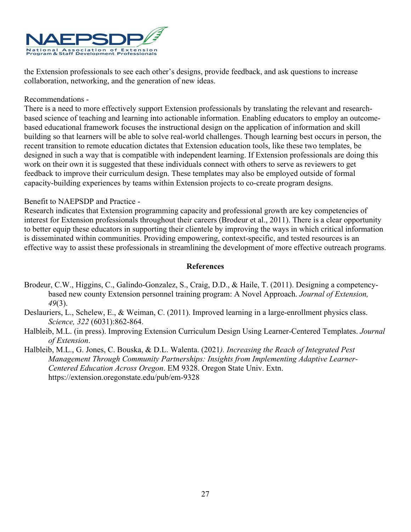

the Extension professionals to see each other's designs, provide feedback, and ask questions to increase collaboration, networking, and the generation of new ideas.

#### Recommendations -

There is a need to more effectively support Extension professionals by translating the relevant and researchbased science of teaching and learning into actionable information. Enabling educators to employ an outcomebased educational framework focuses the instructional design on the application of information and skill building so that learners will be able to solve real-world challenges. Though learning best occurs in person, the recent transition to remote education dictates that Extension education tools, like these two templates, be designed in such a way that is compatible with independent learning. If Extension professionals are doing this work on their own it is suggested that these individuals connect with others to serve as reviewers to get feedback to improve their curriculum design. These templates may also be employed outside of formal capacity-building experiences by teams within Extension projects to co-create program designs.

## Benefit to NAEPSDP and Practice -

Research indicates that Extension programming capacity and professional growth are key competencies of interest for Extension professionals throughout their careers (Brodeur et al., 2011). There is a clear opportunity to better equip these educators in supporting their clientele by improving the ways in which critical information is disseminated within communities. Providing empowering, context-specific, and tested resources is an effective way to assist these professionals in streamlining the development of more effective outreach programs.

- Brodeur, C.W., Higgins, C., Galindo-Gonzalez, S., Craig, D.D., & Haile, T. (2011). Designing a competencybased new county Extension personnel training program: A Novel Approach. *Journal of Extension, 49*(3).
- Deslauriers, L., Schelew, E., & Weiman, C. (2011). Improved learning in a large-enrollment physics class. *Science, 322* (6031):862-864.
- Halbleib, M.L. (in press). Improving Extension Curriculum Design Using Learner-Centered Templates. *Journal of Extension*.
- Halbleib, M.L., G. Jones, C. Bouska, & D.L. Walenta. (2021*). Increasing the Reach of Integrated Pest Management Through Community Partnerships: Insights from Implementing Adaptive Learner-Centered Education Across Oregon*. EM 9328. Oregon State Univ. Extn. https://extension.oregonstate.edu/pub/em-9328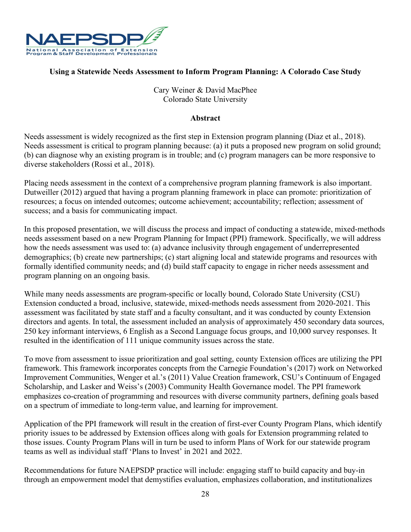

## **Using a Statewide Needs Assessment to Inform Program Planning: A Colorado Case Study**

Cary Weiner & David MacPhee Colorado State University

#### **Abstract**

Needs assessment is widely recognized as the first step in Extension program planning (Diaz et al., 2018). Needs assessment is critical to program planning because: (a) it puts a proposed new program on solid ground; (b) can diagnose why an existing program is in trouble; and (c) program managers can be more responsive to diverse stakeholders (Rossi et al., 2018).

Placing needs assessment in the context of a comprehensive program planning framework is also important. Dutweiller (2012) argued that having a program planning framework in place can promote: prioritization of resources; a focus on intended outcomes; outcome achievement; accountability; reflection; assessment of success; and a basis for communicating impact.

In this proposed presentation, we will discuss the process and impact of conducting a statewide, mixed-methods needs assessment based on a new Program Planning for Impact (PPI) framework. Specifically, we will address how the needs assessment was used to: (a) advance inclusivity through engagement of underrepresented demographics; (b) create new partnerships; (c) start aligning local and statewide programs and resources with formally identified community needs; and (d) build staff capacity to engage in richer needs assessment and program planning on an ongoing basis.

While many needs assessments are program-specific or locally bound, Colorado State University (CSU) Extension conducted a broad, inclusive, statewide, mixed-methods needs assessment from 2020-2021. This assessment was facilitated by state staff and a faculty consultant, and it was conducted by county Extension directors and agents. In total, the assessment included an analysis of approximately 450 secondary data sources, 250 key informant interviews, 6 English as a Second Language focus groups, and 10,000 survey responses. It resulted in the identification of 111 unique community issues across the state.

To move from assessment to issue prioritization and goal setting, county Extension offices are utilizing the PPI framework. This framework incorporates concepts from the Carnegie Foundation's (2017) work on Networked Improvement Communities, Wenger et al.'s (2011) Value Creation framework, CSU's Continuum of Engaged Scholarship, and Lasker and Weiss's (2003) Community Health Governance model. The PPI framework emphasizes co-creation of programming and resources with diverse community partners, defining goals based on a spectrum of immediate to long-term value, and learning for improvement.

Application of the PPI framework will result in the creation of first-ever County Program Plans, which identify priority issues to be addressed by Extension offices along with goals for Extension programming related to those issues. County Program Plans will in turn be used to inform Plans of Work for our statewide program teams as well as individual staff 'Plans to Invest' in 2021 and 2022.

Recommendations for future NAEPSDP practice will include: engaging staff to build capacity and buy-in through an empowerment model that demystifies evaluation, emphasizes collaboration, and institutionalizes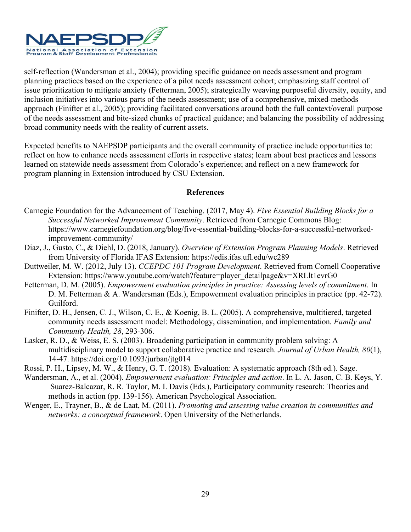

self-reflection (Wandersman et al., 2004); providing specific guidance on needs assessment and program planning practices based on the experience of a pilot needs assessment cohort; emphasizing staff control of issue prioritization to mitigate anxiety (Fetterman, 2005); strategically weaving purposeful diversity, equity, and inclusion initiatives into various parts of the needs assessment; use of a comprehensive, mixed-methods approach (Finifter et al., 2005); providing facilitated conversations around both the full context/overall purpose of the needs assessment and bite-sized chunks of practical guidance; and balancing the possibility of addressing broad community needs with the reality of current assets.

Expected benefits to NAEPSDP participants and the overall community of practice include opportunities to: reflect on how to enhance needs assessment efforts in respective states; learn about best practices and lessons learned on statewide needs assessment from Colorado's experience; and reflect on a new framework for program planning in Extension introduced by CSU Extension.

- Carnegie Foundation for the Advancement of Teaching. (2017, May 4). *Five Essential Building Blocks for a Successful Networked Improvement Community*. Retrieved from Carnegie Commons Blog: https://www.carnegiefoundation.org/blog/five-essential-building-blocks-for-a-successful-networkedimprovement-community/
- Diaz, J., Gusto, C., & Diehl, D. (2018, January). *Overview of Extension Program Planning Models*. Retrieved from University of Florida IFAS Extension: https://edis.ifas.ufl.edu/wc289
- Duttweiler, M. W. (2012, July 13). *CCEPDC 101 Program Development*. Retrieved from Cornell Cooperative Extension: https://www.youtube.com/watch?feature=player\_detailpage&v=XRLlt1evrG0
- Fetterman, D. M. (2005). *Empowerment evaluation principles in practice: Assessing levels of commitment*. In D. M. Fetterman & A. Wandersman (Eds.), Empowerment evaluation principles in practice (pp. 42-72). Guilford.
- Finifter, D. H., Jensen, C. J., Wilson, C. E., & Koenig, B. L. (2005). A comprehensive, multitiered, targeted community needs assessment model: Methodology, dissemination, and implementation*. Family and Community Health, 28*, 293-306.
- Lasker, R. D., & Weiss, E. S. (2003). Broadening participation in community problem solving: A multidisciplinary model to support collaborative practice and research. *Journal of Urban Health, 80*(1), 14-47. https://doi.org/10.1093/jurban/jtg014
- Rossi, P. H., Lipsey, M. W., & Henry, G. T. (2018). Evaluation: A systematic approach (8th ed.). Sage.
- Wandersman, A., et al. (2004). *Empowerment evaluation: Principles and action*. In L. A. Jason, C. B. Keys, Y. Suarez-Balcazar, R. R. Taylor, M. I. Davis (Eds.), Participatory community research: Theories and methods in action (pp. 139-156). American Psychological Association.
- Wenger, E., Trayner, B., & de Laat, M. (2011). *Promoting and assessing value creation in communities and networks: a conceptual framework*. Open University of the Netherlands.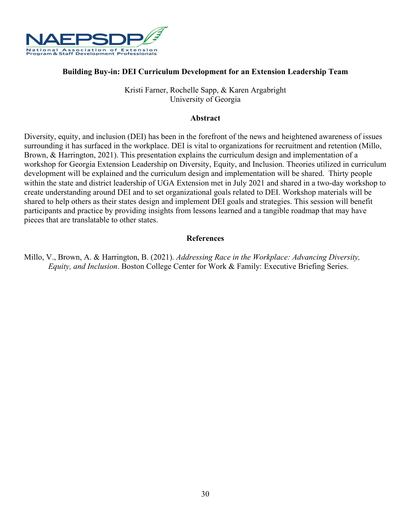

## **Building Buy-in: DEI Curriculum Development for an Extension Leadership Team**

Kristi Farner, Rochelle Sapp, & Karen Argabright University of Georgia

#### **Abstract**

Diversity, equity, and inclusion (DEI) has been in the forefront of the news and heightened awareness of issues surrounding it has surfaced in the workplace. DEI is vital to organizations for recruitment and retention (Millo, Brown, & Harrington, 2021). This presentation explains the curriculum design and implementation of a workshop for Georgia Extension Leadership on Diversity, Equity, and Inclusion. Theories utilized in curriculum development will be explained and the curriculum design and implementation will be shared. Thirty people within the state and district leadership of UGA Extension met in July 2021 and shared in a two-day workshop to create understanding around DEI and to set organizational goals related to DEI. Workshop materials will be shared to help others as their states design and implement DEI goals and strategies. This session will benefit participants and practice by providing insights from lessons learned and a tangible roadmap that may have pieces that are translatable to other states.

#### **References**

Millo, V., Brown, A. & Harrington, B. (2021). *Addressing Race in the Workplace: Advancing Diversity, Equity, and Inclusion*. Boston College Center for Work & Family: Executive Briefing Series.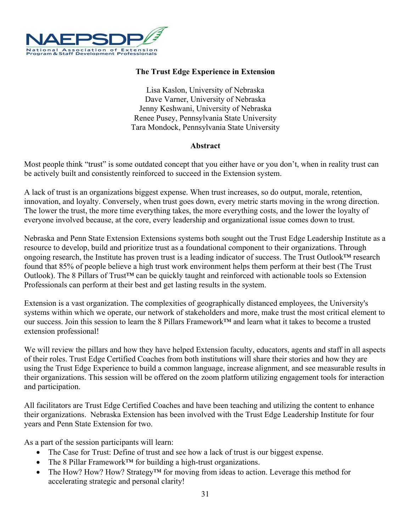

## **The Trust Edge Experience in Extension**

Lisa Kaslon, University of Nebraska Dave Varner, University of Nebraska Jenny Keshwani, University of Nebraska Renee Pusey, Pennsylvania State University Tara Mondock, Pennsylvania State University

#### **Abstract**

Most people think "trust" is some outdated concept that you either have or you don't, when in reality trust can be actively built and consistently reinforced to succeed in the Extension system.

A lack of trust is an organizations biggest expense. When trust increases, so do output, morale, retention, innovation, and loyalty. Conversely, when trust goes down, every metric starts moving in the wrong direction. The lower the trust, the more time everything takes, the more everything costs, and the lower the loyalty of everyone involved because, at the core, every leadership and organizational issue comes down to trust.

Nebraska and Penn State Extension Extensions systems both sought out the Trust Edge Leadership Institute as a resource to develop, build and prioritize trust as a foundational component to their organizations. Through ongoing research, the Institute has proven trust is a leading indicator of success. The Trust Outlook™ research found that 85% of people believe a high trust work environment helps them perform at their best (The Trust Outlook). The 8 Pillars of Trust™ can be quickly taught and reinforced with actionable tools so Extension Professionals can perform at their best and get lasting results in the system.

Extension is a vast organization. The complexities of geographically distanced employees, the University's systems within which we operate, our network of stakeholders and more, make trust the most critical element to our success. Join this session to learn the 8 Pillars Framework™ and learn what it takes to become a trusted extension professional!

We will review the pillars and how they have helped Extension faculty, educators, agents and staff in all aspects of their roles. Trust Edge Certified Coaches from both institutions will share their stories and how they are using the Trust Edge Experience to build a common language, increase alignment, and see measurable results in their organizations. This session will be offered on the zoom platform utilizing engagement tools for interaction and participation.

All facilitators are Trust Edge Certified Coaches and have been teaching and utilizing the content to enhance their organizations. Nebraska Extension has been involved with the Trust Edge Leadership Institute for four years and Penn State Extension for two.

As a part of the session participants will learn:

- The Case for Trust: Define of trust and see how a lack of trust is our biggest expense.
- The 8 Pillar Framework<sup>™</sup> for building a high-trust organizations.
- The How? How? How? Strategy<sup>TM</sup> for moving from ideas to action. Leverage this method for accelerating strategic and personal clarity!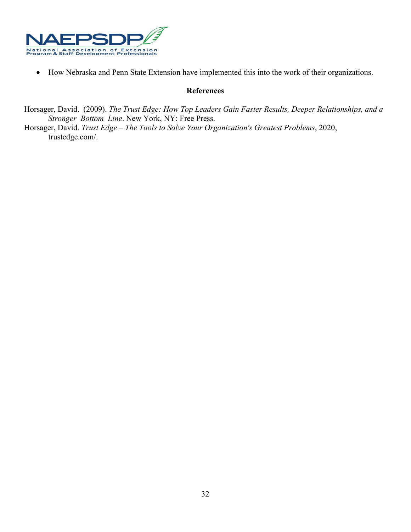

• How Nebraska and Penn State Extension have implemented this into the work of their organizations.

#### **References**

Horsager, David. (2009). *The Trust Edge: How Top Leaders Gain Faster Results, Deeper Relationships, and a Stronger Bottom Line*. New York, NY: Free Press.

Horsager, David. *Trust Edge – The Tools to Solve Your Organization's Greatest Problems*, 2020, trustedge.com/.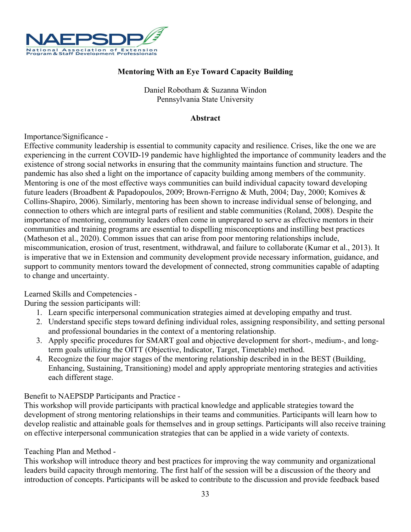

## **Mentoring With an Eye Toward Capacity Building**

Daniel Robotham & Suzanna Windon Pennsylvania State University

#### **Abstract**

#### Importance/Significance -

Effective community leadership is essential to community capacity and resilience. Crises, like the one we are experiencing in the current COVID-19 pandemic have highlighted the importance of community leaders and the existence of strong social networks in ensuring that the community maintains function and structure. The pandemic has also shed a light on the importance of capacity building among members of the community. Mentoring is one of the most effective ways communities can build individual capacity toward developing future leaders (Broadbent & Papadopoulos, 2009; Brown-Ferrigno & Muth, 2004; Day, 2000; Komives & Collins-Shapiro, 2006). Similarly, mentoring has been shown to increase individual sense of belonging, and connection to others which are integral parts of resilient and stable communities (Roland, 2008). Despite the importance of mentoring, community leaders often come in unprepared to serve as effective mentors in their communities and training programs are essential to dispelling misconceptions and instilling best practices (Matheson et al., 2020). Common issues that can arise from poor mentoring relationships include, miscommunication, erosion of trust, resentment, withdrawal, and failure to collaborate (Kumar et al., 2013). It is imperative that we in Extension and community development provide necessary information, guidance, and support to community mentors toward the development of connected, strong communities capable of adapting to change and uncertainty.

## Learned Skills and Competencies -

During the session participants will:

- 1. Learn specific interpersonal communication strategies aimed at developing empathy and trust.
- 2. Understand specific steps toward defining individual roles, assigning responsibility, and setting personal and professional boundaries in the context of a mentoring relationship.
- 3. Apply specific procedures for SMART goal and objective development for short-, medium-, and longterm goals utilizing the OITT (Objective, Indicator, Target, Timetable) method.
- 4. Recognize the four major stages of the mentoring relationship described in in the BEST (Building, Enhancing, Sustaining, Transitioning) model and apply appropriate mentoring strategies and activities each different stage.

## Benefit to NAEPSDP Participants and Practice -

This workshop will provide participants with practical knowledge and applicable strategies toward the development of strong mentoring relationships in their teams and communities. Participants will learn how to develop realistic and attainable goals for themselves and in group settings. Participants will also receive training on effective interpersonal communication strategies that can be applied in a wide variety of contexts.

## Teaching Plan and Method -

This workshop will introduce theory and best practices for improving the way community and organizational leaders build capacity through mentoring. The first half of the session will be a discussion of the theory and introduction of concepts. Participants will be asked to contribute to the discussion and provide feedback based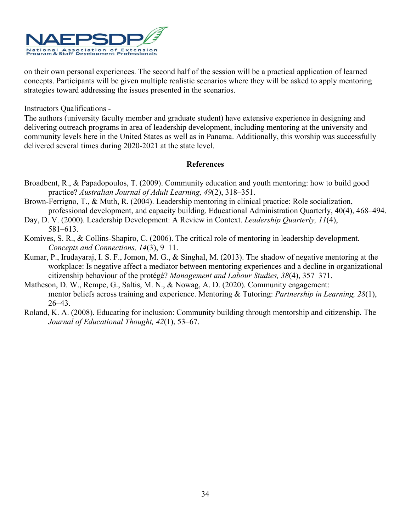

on their own personal experiences. The second half of the session will be a practical application of learned concepts. Participants will be given multiple realistic scenarios where they will be asked to apply mentoring strategies toward addressing the issues presented in the scenarios.

Instructors Qualifications -

The authors (university faculty member and graduate student) have extensive experience in designing and delivering outreach programs in area of leadership development, including mentoring at the university and community levels here in the United States as well as in Panama. Additionally, this worship was successfully delivered several times during 2020-2021 at the state level.

- Broadbent, R., & Papadopoulos, T. (2009). Community education and youth mentoring: how to build good practice? *Australian Journal of Adult Learning, 49*(2), 318–351.
- Brown-Ferrigno, T., & Muth, R. (2004). Leadership mentoring in clinical practice: Role socialization, professional development, and capacity building. Educational Administration Quarterly, 40(4), 468–494.
- Day, D. V. (2000). Leadership Development: A Review in Context. *Leadership Quarterly, 11*(4), 581–613.
- Komives, S. R., & Collins-Shapiro, C. (2006). The critical role of mentoring in leadership development. *Concepts and Connections, 14*(3), 9–11.
- Kumar, P., Irudayaraj, I. S. F., Jomon, M. G., & Singhal, M. (2013). The shadow of negative mentoring at the workplace: Is negative affect a mediator between mentoring experiences and a decline in organizational citizenship behaviour of the protégé? *Management and Labour Studies, 38*(4), 357–371.
- Matheson, D. W., Rempe, G., Saltis, M. N., & Nowag, A. D. (2020). Community engagement: mentor beliefs across training and experience. Mentoring & Tutoring: *Partnership in Learning, 28*(1), 26–43.
- Roland, K. A. (2008). Educating for inclusion: Community building through mentorship and citizenship. The *Journal of Educational Thought, 42*(1), 53–67.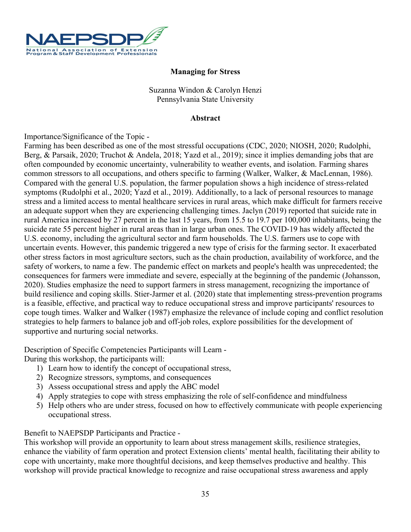

## **Managing for Stress**

Suzanna Windon & Carolyn Henzi Pennsylvania State University

#### **Abstract**

Importance/Significance of the Topic -

Farming has been described as one of the most stressful occupations (CDC, 2020; NIOSH, 2020; Rudolphi, Berg, & Parsaik, 2020; Truchot & Andela, 2018; Yazd et al., 2019); since it implies demanding jobs that are often compounded by economic uncertainty, vulnerability to weather events, and isolation. Farming shares common stressors to all occupations, and others specific to farming (Walker, Walker, & MacLennan, 1986). Compared with the general U.S. population, the farmer population shows a high incidence of stress-related symptoms (Rudolphi et al., 2020; Yazd et al., 2019). Additionally, to a lack of personal resources to manage stress and a limited access to mental healthcare services in rural areas, which make difficult for farmers receive an adequate support when they are experiencing challenging times. Jaclyn (2019) reported that suicide rate in rural America increased by 27 percent in the last 15 years, from 15.5 to 19.7 per 100,000 inhabitants, being the suicide rate 55 percent higher in rural areas than in large urban ones. The COVID-19 has widely affected the U.S. economy, including the agricultural sector and farm households. The U.S. farmers use to cope with uncertain events. However, this pandemic triggered a new type of crisis for the farming sector. It exacerbated other stress factors in most agriculture sectors, such as the chain production, availability of workforce, and the safety of workers, to name a few. The pandemic effect on markets and people's health was unprecedented; the consequences for farmers were immediate and severe, especially at the beginning of the pandemic (Johansson, 2020). Studies emphasize the need to support farmers in stress management, recognizing the importance of build resilience and coping skills. Stier-Jarmer et al. (2020) state that implementing stress-prevention programs is a feasible, effective, and practical way to reduce occupational stress and improve participants' resources to cope tough times. Walker and Walker (1987) emphasize the relevance of include coping and conflict resolution strategies to help farmers to balance job and off-job roles, explore possibilities for the development of supportive and nurturing social networks.

Description of Specific Competencies Participants will Learn -

During this workshop, the participants will:

- 1) Learn how to identify the concept of occupational stress,
- 2) Recognize stressors, symptoms, and consequences
- 3) Assess occupational stress and apply the ABC model
- 4) Apply strategies to cope with stress emphasizing the role of self-confidence and mindfulness
- 5) Help others who are under stress, focused on how to effectively communicate with people experiencing occupational stress.

Benefit to NAEPSDP Participants and Practice -

This workshop will provide an opportunity to learn about stress management skills, resilience strategies, enhance the viability of farm operation and protect Extension clients' mental health, facilitating their ability to cope with uncertainty, make more thoughtful decisions, and keep themselves productive and healthy. This workshop will provide practical knowledge to recognize and raise occupational stress awareness and apply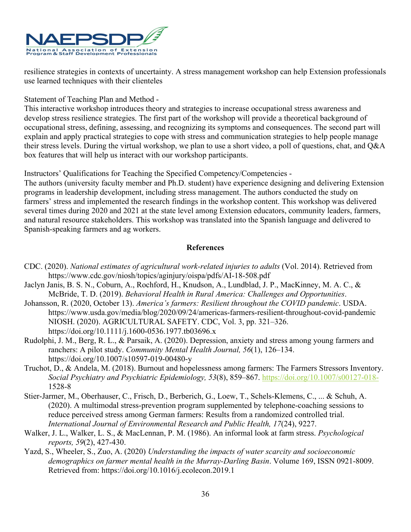

resilience strategies in contexts of uncertainty. A stress management workshop can help Extension professionals use learned techniques with their clienteles

Statement of Teaching Plan and Method -

This interactive workshop introduces theory and strategies to increase occupational stress awareness and develop stress resilience strategies. The first part of the workshop will provide a theoretical background of occupational stress, defining, assessing, and recognizing its symptoms and consequences. The second part will explain and apply practical strategies to cope with stress and communication strategies to help people manage their stress levels. During the virtual workshop, we plan to use a short video, a poll of questions, chat, and Q&A box features that will help us interact with our workshop participants.

Instructors' Qualifications for Teaching the Specified Competency/Competencies -

The authors (university faculty member and Ph.D. student) have experience designing and delivering Extension programs in leadership development, including stress management. The authors conducted the study on farmers' stress and implemented the research findings in the workshop content. This workshop was delivered several times during 2020 and 2021 at the state level among Extension educators, community leaders, farmers, and natural resource stakeholders. This workshop was translated into the Spanish language and delivered to Spanish-speaking farmers and ag workers.

- CDC. (2020). *National estimates of agricultural work-related injuries to adults* (Vol. 2014). Retrieved from https://www.cdc.gov/niosh/topics/aginjury/oispa/pdfs/AI-18-508.pdf
- Jaclyn Janis, B. S. N., Coburn, A., Rochford, H., Knudson, A., Lundblad, J. P., MacKinney, M. A. C., & McBride, T. D. (2019). *Behavioral Health in Rural America: Challenges and Opportunities*.
- Johansson, R. (2020, October 13). *America's farmers: Resilient throughout the COVID pandemic*. USDA. https://www.usda.gov/media/blog/2020/09/24/americas-farmers-resilient-throughout-covid-pandemic NIOSH. (2020). AGRICULTURAL SAFETY. CDC, Vol. 3, pp. 321–326. https://doi.org/10.1111/j.1600-0536.1977.tb03696.x
- Rudolphi, J. M., Berg, R. L., & Parsaik, A. (2020). Depression, anxiety and stress among young farmers and ranchers: A pilot study. *Community Mental Health Journal, 56*(1), 126–134. https://doi.org/10.1007/s10597-019-00480-y
- Truchot, D., & Andela, M. (2018). Burnout and hopelessness among farmers: The Farmers Stressors Inventory. *Social Psychiatry and Psychiatric Epidemiology, 53*(8), 859–867.<https://doi.org/10.1007/s00127-018-> 1528-8
- Stier-Jarmer, M., Oberhauser, C., Frisch, D., Berberich, G., Loew, T., Schels-Klemens, C., ... & Schuh, A. (2020). A multimodal stress-prevention program supplemented by telephone-coaching sessions to reduce perceived stress among German farmers: Results from a randomized controlled trial. *International Journal of Environmental Research and Public Health, 17*(24), 9227.
- Walker, J. L., Walker, L. S., & MacLennan, P. M. (1986). An informal look at farm stress. *Psychological reports, 59*(2), 427-430.
- Yazd, S., Wheeler, S., Zuo, A. (2020) *Understanding the impacts of water scarcity and socioeconomic demographics on farmer mental health in the Murray-Darling Basin*. Volume 169, ISSN 0921-8009. Retrieved from: https://doi.org/10.1016/j.ecolecon.2019.1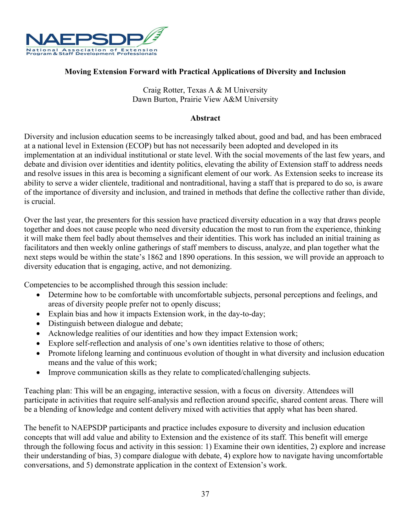

## **Moving Extension Forward with Practical Applications of Diversity and Inclusion**

Craig Rotter, Texas A & M University Dawn Burton, Prairie View A&M University

#### **Abstract**

Diversity and inclusion education seems to be increasingly talked about, good and bad, and has been embraced at a national level in Extension (ECOP) but has not necessarily been adopted and developed in its implementation at an individual institutional or state level. With the social movements of the last few years, and debate and division over identities and identity politics, elevating the ability of Extension staff to address needs and resolve issues in this area is becoming a significant element of our work. As Extension seeks to increase its ability to serve a wider clientele, traditional and nontraditional, having a staff that is prepared to do so, is aware of the importance of diversity and inclusion, and trained in methods that define the collective rather than divide, is crucial.

Over the last year, the presenters for this session have practiced diversity education in a way that draws people together and does not cause people who need diversity education the most to run from the experience, thinking it will make them feel badly about themselves and their identities. This work has included an initial training as facilitators and then weekly online gatherings of staff members to discuss, analyze, and plan together what the next steps would be within the state's 1862 and 1890 operations. In this session, we will provide an approach to diversity education that is engaging, active, and not demonizing.

Competencies to be accomplished through this session include:

- Determine how to be comfortable with uncomfortable subjects, personal perceptions and feelings, and areas of diversity people prefer not to openly discuss;
- Explain bias and how it impacts Extension work, in the day-to-day;
- Distinguish between dialogue and debate;
- Acknowledge realities of our identities and how they impact Extension work;
- Explore self-reflection and analysis of one's own identities relative to those of others;
- Promote lifelong learning and continuous evolution of thought in what diversity and inclusion education means and the value of this work;
- Improve communication skills as they relate to complicated/challenging subjects.

Teaching plan: This will be an engaging, interactive session, with a focus on diversity. Attendees will participate in activities that require self-analysis and reflection around specific, shared content areas. There will be a blending of knowledge and content delivery mixed with activities that apply what has been shared.

The benefit to NAEPSDP participants and practice includes exposure to diversity and inclusion education concepts that will add value and ability to Extension and the existence of its staff. This benefit will emerge through the following focus and activity in this session: 1) Examine their own identities, 2) explore and increase their understanding of bias, 3) compare dialogue with debate, 4) explore how to navigate having uncomfortable conversations, and 5) demonstrate application in the context of Extension's work.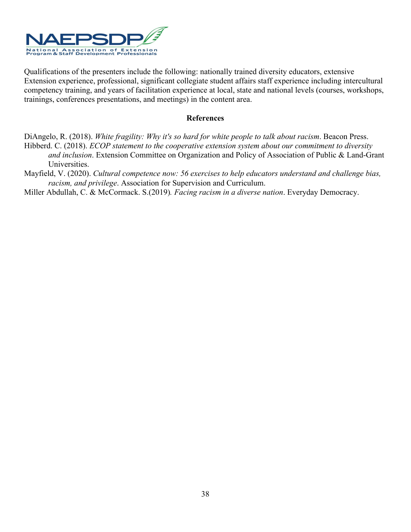

Qualifications of the presenters include the following: nationally trained diversity educators, extensive Extension experience, professional, significant collegiate student affairs staff experience including intercultural competency training, and years of facilitation experience at local, state and national levels (courses, workshops, trainings, conferences presentations, and meetings) in the content area.

- DiAngelo, R. (2018). *White fragility: Why it's so hard for white people to talk about racism*. Beacon Press. Hibberd. C. (2018). *ECOP statement to the cooperative extension system about our commitment to diversity and inclusion*. Extension Committee on Organization and Policy of Association of Public & Land-Grant Universities.
- Mayfield, V. (2020). *Cultural competence now: 56 exercises to help educators understand and challenge bias, racism, and privilege*. Association for Supervision and Curriculum.
- Miller Abdullah, C. & McCormack. S.(2019)*. Facing racism in a diverse nation*. Everyday Democracy.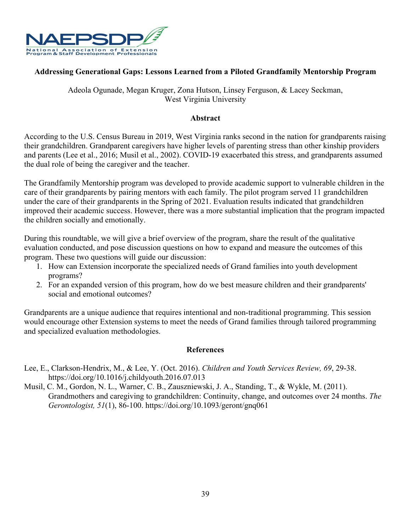

## **Addressing Generational Gaps: Lessons Learned from a Piloted Grandfamily Mentorship Program**

## Adeola Ogunade, Megan Kruger, Zona Hutson, Linsey Ferguson, & Lacey Seckman, West Virginia University

#### **Abstract**

According to the U.S. Census Bureau in 2019, West Virginia ranks second in the nation for grandparents raising their grandchildren. Grandparent caregivers have higher levels of parenting stress than other kinship providers and parents (Lee et al., 2016; Musil et al., 2002). COVID-19 exacerbated this stress, and grandparents assumed the dual role of being the caregiver and the teacher.

The Grandfamily Mentorship program was developed to provide academic support to vulnerable children in the care of their grandparents by pairing mentors with each family. The pilot program served 11 grandchildren under the care of their grandparents in the Spring of 2021. Evaluation results indicated that grandchildren improved their academic success. However, there was a more substantial implication that the program impacted the children socially and emotionally.

During this roundtable, we will give a brief overview of the program, share the result of the qualitative evaluation conducted, and pose discussion questions on how to expand and measure the outcomes of this program. These two questions will guide our discussion:

- 1. How can Extension incorporate the specialized needs of Grand families into youth development programs?
- 2. For an expanded version of this program, how do we best measure children and their grandparents' social and emotional outcomes?

Grandparents are a unique audience that requires intentional and non-traditional programming. This session would encourage other Extension systems to meet the needs of Grand families through tailored programming and specialized evaluation methodologies.

- Lee, E., Clarkson-Hendrix, M., & Lee, Y. (Oct. 2016). *Children and Youth Services Review, 69*, 29-38. https://doi.org/10.1016/j.childyouth.2016.07.013
- Musil, C. M., Gordon, N. L., Warner, C. B., Zauszniewski, J. A., Standing, T., & Wykle, M. (2011). Grandmothers and caregiving to grandchildren: Continuity, change, and outcomes over 24 months. *The Gerontologist, 51*(1), 86-100. https://doi.org/10.1093/geront/gnq061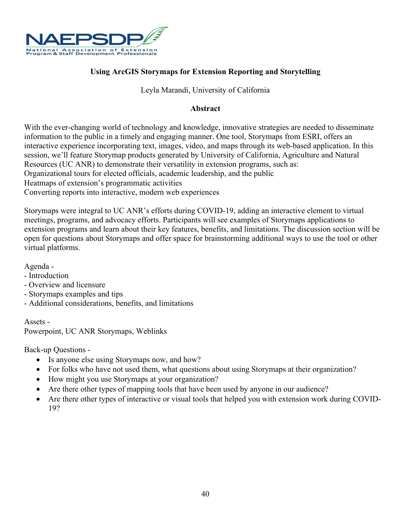

## **Using ArcGIS Storymaps for Extension Reporting and Storytelling**

## Leyla Marandi, University of California

#### **Abstract**

With the ever-changing world of technology and knowledge, innovative strategies are needed to disseminate information to the public in a timely and engaging manner. One tool, Storymaps from ESRI, offers an interactive experience incorporating text, images, video, and maps through its web-based application. In this session, we'll feature Storymap products generated by University of California, Agriculture and Natural Resources (UC ANR) to demonstrate their versatility in extension programs, such as: Organizational tours for elected officials, academic leadership, and the public Heatmaps of extension's programmatic activities Converting reports into interactive, modern web experiences

Storymaps were integral to UC ANR's efforts during COVID-19, adding an interactive element to virtual meetings, programs, and advocacy efforts. Participants will see examples of Storymaps applications to extension programs and learn about their key features, benefits, and limitations. The discussion section will be open for questions about Storymaps and offer space for brainstorming additional ways to use the tool or other virtual platforms.

Agenda -

- Introduction
- Overview and licensure
- Storymaps examples and tips
- Additional considerations, benefits, and limitations

Assets - Powerpoint, UC ANR Storymaps, Weblinks

Back-up Questions -

- Is anyone else using Storymaps now, and how?
- For folks who have not used them, what questions about using Storymaps at their organization?
- How might you use Storymaps at your organization?
- Are there other types of mapping tools that have been used by anyone in our audience?
- Are there other types of interactive or visual tools that helped you with extension work during COVID-19?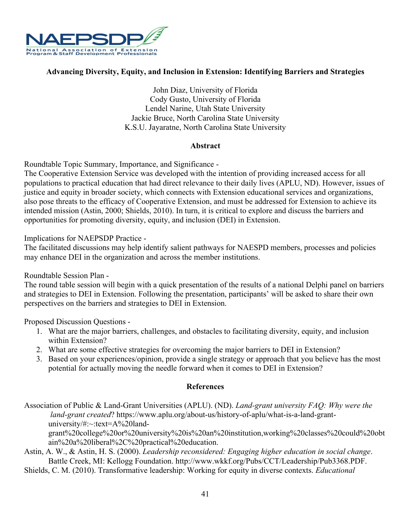

## **Advancing Diversity, Equity, and Inclusion in Extension: Identifying Barriers and Strategies**

John Diaz, University of Florida Cody Gusto, University of Florida Lendel Narine, Utah State University Jackie Bruce, North Carolina State University K.S.U. Jayaratne, North Carolina State University

## **Abstract**

Roundtable Topic Summary, Importance, and Significance -

The Cooperative Extension Service was developed with the intention of providing increased access for all populations to practical education that had direct relevance to their daily lives (APLU, ND). However, issues of justice and equity in broader society, which connects with Extension educational services and organizations, also pose threats to the efficacy of Cooperative Extension, and must be addressed for Extension to achieve its intended mission (Astin, 2000; Shields, 2010). In turn, it is critical to explore and discuss the barriers and opportunities for promoting diversity, equity, and inclusion (DEI) in Extension.

Implications for NAEPSDP Practice -

The facilitated discussions may help identify salient pathways for NAESPD members, processes and policies may enhance DEI in the organization and across the member institutions.

Roundtable Session Plan -

The round table session will begin with a quick presentation of the results of a national Delphi panel on barriers and strategies to DEI in Extension. Following the presentation, participants' will be asked to share their own perspectives on the barriers and strategies to DEI in Extension.

Proposed Discussion Questions -

- 1. What are the major barriers, challenges, and obstacles to facilitating diversity, equity, and inclusion within Extension?
- 2. What are some effective strategies for overcoming the major barriers to DEI in Extension?
- 3. Based on your experiences/opinion, provide a single strategy or approach that you believe has the most potential for actually moving the needle forward when it comes to DEI in Extension?

## **References**

Association of Public & Land-Grant Universities (APLU). (ND). *Land-grant university FAQ: Why were the land-grant created*? https://www.aplu.org/about-us/history-of-aplu/what-is-a-land-grantuniversity/#:~:text=A%20land-

grant%20college%20or%20university%20is%20an%20institution,working%20classes%20could%20obt ain%20a%20liberal%2C%20practical%20education.

Astin, A. W., & Astin, H. S. (2000). *Leadership reconsidered: Engaging higher education in social change*. Battle Creek, MI: Kellogg Foundation. http://www.wkkf.org/Pubs/CCT/Leadership/Pub3368.PDF.

Shields, C. M. (2010). Transformative leadership: Working for equity in diverse contexts. *Educational*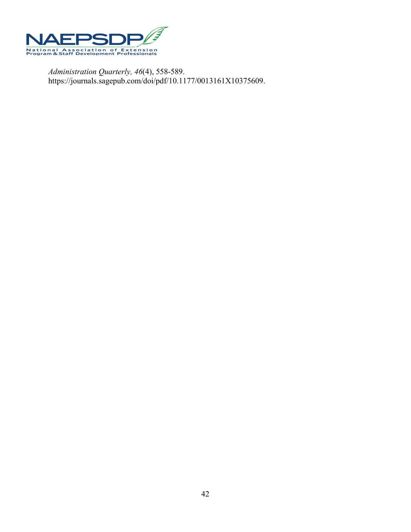

*Administration Quarterly, 46*(4), 558-589. https://journals.sagepub.com/doi/pdf/10.1177/0013161X10375609.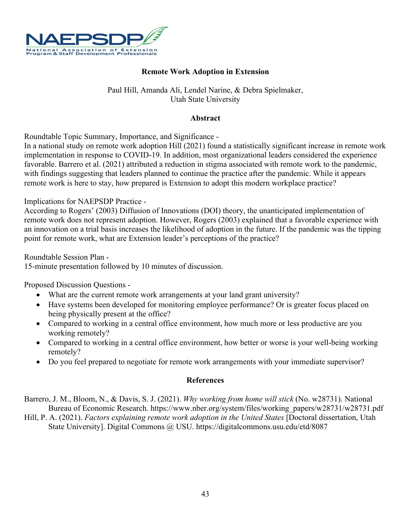

## **Remote Work Adoption in Extension**

## Paul Hill, Amanda Ali, Lendel Narine, & Debra Spielmaker, Utah State University

## **Abstract**

Roundtable Topic Summary, Importance, and Significance -

In a national study on remote work adoption Hill (2021) found a statistically significant increase in remote work implementation in response to COVID-19. In addition, most organizational leaders considered the experience favorable. Barrero et al. (2021) attributed a reduction in stigma associated with remote work to the pandemic, with findings suggesting that leaders planned to continue the practice after the pandemic. While it appears remote work is here to stay, how prepared is Extension to adopt this modern workplace practice?

Implications for NAEPSDP Practice -

According to Rogers' (2003) Diffusion of Innovations (DOI) theory, the unanticipated implementation of remote work does not represent adoption. However, Rogers (2003) explained that a favorable experience with an innovation on a trial basis increases the likelihood of adoption in the future. If the pandemic was the tipping point for remote work, what are Extension leader's perceptions of the practice?

Roundtable Session Plan - 15-minute presentation followed by 10 minutes of discussion.

Proposed Discussion Questions -

- What are the current remote work arrangements at your land grant university?
- Have systems been developed for monitoring employee performance? Or is greater focus placed on being physically present at the office?
- Compared to working in a central office environment, how much more or less productive are you working remotely?
- Compared to working in a central office environment, how better or worse is your well-being working remotely?
- Do you feel prepared to negotiate for remote work arrangements with your immediate supervisor?

#### **References**

Barrero, J. M., Bloom, N., & Davis, S. J. (2021). *Why working from home will stick* (No. w28731). National Bureau of Economic Research. https://www.nber.org/system/files/working\_papers/w28731/w28731.pdf

Hill, P. A. (2021). *Factors explaining remote work adoption in the United States* [Doctoral dissertation, Utah State University]. Digital Commons @ USU. https://digitalcommons.usu.edu/etd/8087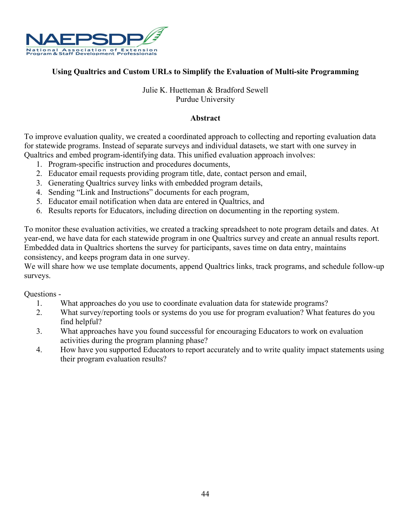

## **Using Qualtrics and Custom URLs to Simplify the Evaluation of Multi-site Programming**

## Julie K. Huetteman & Bradford Sewell Purdue University

## **Abstract**

To improve evaluation quality, we created a coordinated approach to collecting and reporting evaluation data for statewide programs. Instead of separate surveys and individual datasets, we start with one survey in Qualtrics and embed program-identifying data. This unified evaluation approach involves:

- 1. Program-specific instruction and procedures documents,
- 2. Educator email requests providing program title, date, contact person and email,
- 3. Generating Qualtrics survey links with embedded program details,
- 4. Sending "Link and Instructions" documents for each program,
- 5. Educator email notification when data are entered in Qualtrics, and
- 6. Results reports for Educators, including direction on documenting in the reporting system.

To monitor these evaluation activities, we created a tracking spreadsheet to note program details and dates. At year-end, we have data for each statewide program in one Qualtrics survey and create an annual results report. Embedded data in Qualtrics shortens the survey for participants, saves time on data entry, maintains consistency, and keeps program data in one survey.

We will share how we use template documents, append Qualtrics links, track programs, and schedule follow-up surveys.

Questions -

- 1. What approaches do you use to coordinate evaluation data for statewide programs?
- 2. What survey/reporting tools or systems do you use for program evaluation? What features do you find helpful?
- 3. What approaches have you found successful for encouraging Educators to work on evaluation activities during the program planning phase?
- 4. How have you supported Educators to report accurately and to write quality impact statements using their program evaluation results?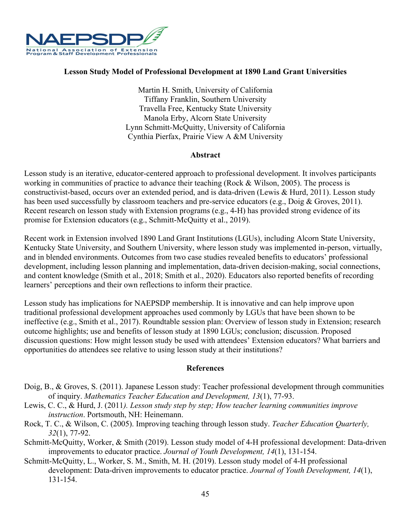

#### **Lesson Study Model of Professional Development at 1890 Land Grant Universities**

Martin H. Smith, University of California Tiffany Franklin, Southern University Travella Free, Kentucky State University Manola Erby, Alcorn State University Lynn Schmitt-McQuitty, University of California Cynthia Pierfax, Prairie View A &M University

#### **Abstract**

Lesson study is an iterative, educator-centered approach to professional development. It involves participants working in communities of practice to advance their teaching (Rock & Wilson, 2005). The process is constructivist-based, occurs over an extended period, and is data-driven (Lewis & Hurd, 2011). Lesson study has been used successfully by classroom teachers and pre-service educators (e.g., Doig & Groves, 2011). Recent research on lesson study with Extension programs (e.g., 4-H) has provided strong evidence of its promise for Extension educators (e.g., Schmitt-McQuitty et al., 2019).

Recent work in Extension involved 1890 Land Grant Institutions (LGUs), including Alcorn State University, Kentucky State University, and Southern University, where lesson study was implemented in-person, virtually, and in blended environments. Outcomes from two case studies revealed benefits to educators' professional development, including lesson planning and implementation, data-driven decision-making, social connections, and content knowledge (Smith et al., 2018; Smith et al., 2020). Educators also reported benefits of recording learners' perceptions and their own reflections to inform their practice.

Lesson study has implications for NAEPSDP membership. It is innovative and can help improve upon traditional professional development approaches used commonly by LGUs that have been shown to be ineffective (e.g., Smith et al., 2017). Roundtable session plan: Overview of lesson study in Extension; research outcome highlights; use and benefits of lesson study at 1890 LGUs; conclusion; discussion. Proposed discussion questions: How might lesson study be used with attendees' Extension educators? What barriers and opportunities do attendees see relative to using lesson study at their institutions?

- Doig, B., & Groves, S. (2011). Japanese Lesson study: Teacher professional development through communities of inquiry. *Mathematics Teacher Education and Development, 13*(1), 77-93.
- Lewis, C. C., & Hurd, J. (2011*). Lesson study step by step; How teacher learning communities improve instruction*. Portsmouth, NH: Heinemann.
- Rock, T. C., & Wilson, C. (2005). Improving teaching through lesson study. *Teacher Education Quarterly, 32*(1), 77-92.
- Schmitt-McQuitty, Worker, & Smith (2019). Lesson study model of 4-H professional development: Data-driven improvements to educator practice. *Journal of Youth Development, 14*(1), 131-154.
- Schmitt-McQuitty, L., Worker, S. M., Smith, M. H. (2019). Lesson study model of 4-H professional development: Data-driven improvements to educator practice. *Journal of Youth Development, 14*(1), 131-154.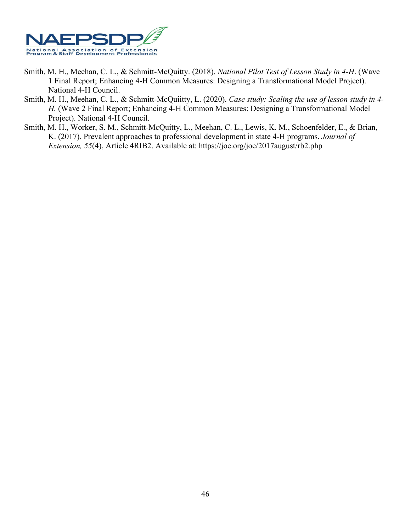

- Smith, M. H., Meehan, C. L., & Schmitt-McQuitty. (2018). *National Pilot Test of Lesson Study in 4-H*. (Wave 1 Final Report; Enhancing 4-H Common Measures: Designing a Transformational Model Project). National 4-H Council.
- Smith, M. H., Meehan, C. L., & Schmitt-McQuiitty, L. (2020). *Case study: Scaling the use of lesson study in 4- H.* (Wave 2 Final Report; Enhancing 4-H Common Measures: Designing a Transformational Model Project). National 4-H Council.
- Smith, M. H., Worker, S. M., Schmitt-McQuitty, L., Meehan, C. L., Lewis, K. M., Schoenfelder, E., & Brian, K. (2017). Prevalent approaches to professional development in state 4-H programs. *Journal of Extension, 55*(4), Article 4RIB2. Available at: https://joe.org/joe/2017august/rb2.php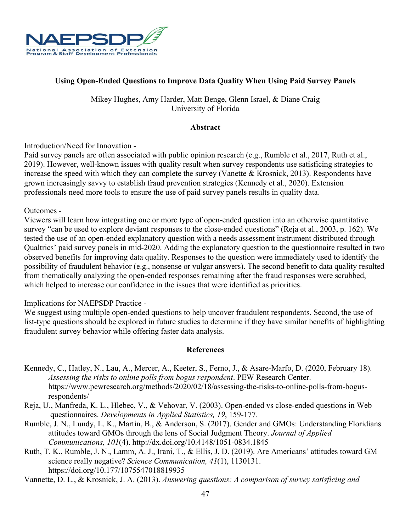

## **Using Open-Ended Questions to Improve Data Quality When Using Paid Survey Panels**

Mikey Hughes, Amy Harder, Matt Benge, Glenn Israel, & Diane Craig University of Florida

#### **Abstract**

Introduction/Need for Innovation -

Paid survey panels are often associated with public opinion research (e.g., Rumble et al., 2017, Ruth et al., 2019). However, well-known issues with quality result when survey respondents use satisficing strategies to increase the speed with which they can complete the survey (Vanette & Krosnick, 2013). Respondents have grown increasingly savvy to establish fraud prevention strategies (Kennedy et al., 2020). Extension professionals need more tools to ensure the use of paid survey panels results in quality data.

#### Outcomes -

Viewers will learn how integrating one or more type of open-ended question into an otherwise quantitative survey "can be used to explore deviant responses to the close-ended questions" (Reja et al., 2003, p. 162). We tested the use of an open-ended explanatory question with a needs assessment instrument distributed through Qualtrics' paid survey panels in mid-2020. Adding the explanatory question to the questionnaire resulted in two observed benefits for improving data quality. Responses to the question were immediately used to identify the possibility of fraudulent behavior (e.g., nonsense or vulgar answers). The second benefit to data quality resulted from thematically analyzing the open-ended responses remaining after the fraud responses were scrubbed, which helped to increase our confidence in the issues that were identified as priorities.

#### Implications for NAEPSDP Practice -

We suggest using multiple open-ended questions to help uncover fraudulent respondents. Second, the use of list-type questions should be explored in future studies to determine if they have similar benefits of highlighting fraudulent survey behavior while offering faster data analysis.

#### **References**

- Kennedy, C., Hatley, N., Lau, A., Mercer, A., Keeter, S., Ferno, J., & Asare-Marfo, D. (2020, February 18). *Assessing the risks to online polls from bogus respondent*. PEW Research Center. https://www.pewresearch.org/methods/2020/02/18/assessing-the-risks-to-online-polls-from-bogusrespondents/
- Reja, U., Manfreda, K. L., Hlebec, V., & Vehovar, V. (2003). Open-ended vs close-ended questions in Web questionnaires. *Developments in Applied Statistics, 19*, 159-177.
- Rumble, J. N., Lundy, L. K., Martin, B., & Anderson, S. (2017). Gender and GMOs: Understanding Floridians attitudes toward GMOs through the lens of Social Judgment Theory. *Journal of Applied Communications, 101*(4). http://dx.doi.org/10.4148/1051-0834.1845
- Ruth, T. K., Rumble, J. N., Lamm, A. J., Irani, T., & Ellis, J. D. (2019). Are Americans' attitudes toward GM science really negative? *Science Communication, 41*(1), 1130131. https://doi.org/10.177/1075547018819935

Vannette, D. L., & Krosnick, J. A. (2013). *Answering questions: A comparison of survey satisficing and*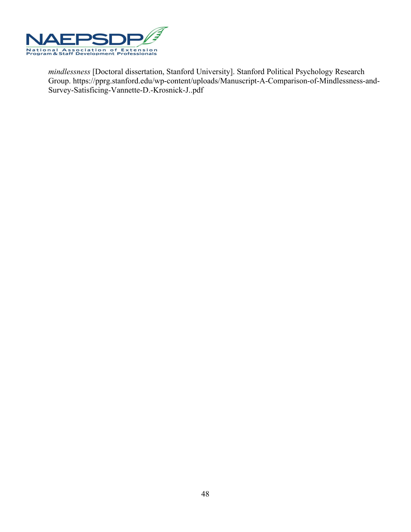

*mindlessness* [Doctoral dissertation, Stanford University]. Stanford Political Psychology Research Group. https://pprg.stanford.edu/wp-content/uploads/Manuscript-A-Comparison-of-Mindlessness-and-Survey-Satisficing-Vannette-D.-Krosnick-J..pdf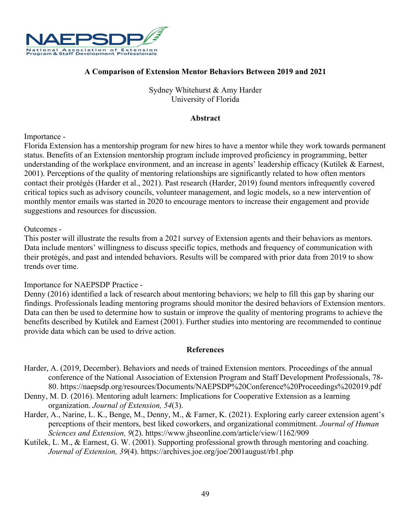

## **A Comparison of Extension Mentor Behaviors Between 2019 and 2021**

Sydney Whitehurst & Amy Harder University of Florida

#### **Abstract**

#### Importance -

Florida Extension has a mentorship program for new hires to have a mentor while they work towards permanent status. Benefits of an Extension mentorship program include improved proficiency in programming, better understanding of the workplace environment, and an increase in agents' leadership efficacy (Kutilek & Earnest, 2001). Perceptions of the quality of mentoring relationships are significantly related to how often mentors contact their protégés (Harder et al., 2021). Past research (Harder, 2019) found mentors infrequently covered critical topics such as advisory councils, volunteer management, and logic models, so a new intervention of monthly mentor emails was started in 2020 to encourage mentors to increase their engagement and provide suggestions and resources for discussion.

#### Outcomes -

This poster will illustrate the results from a 2021 survey of Extension agents and their behaviors as mentors. Data include mentors' willingness to discuss specific topics, methods and frequency of communication with their protégés, and past and intended behaviors. Results will be compared with prior data from 2019 to show trends over time.

#### Importance for NAEPSDP Practice -

Denny (2016) identified a lack of research about mentoring behaviors; we help to fill this gap by sharing our findings. Professionals leading mentoring programs should monitor the desired behaviors of Extension mentors. Data can then be used to determine how to sustain or improve the quality of mentoring programs to achieve the benefits described by Kutilek and Earnest (2001). Further studies into mentoring are recommended to continue provide data which can be used to drive action.

- Harder, A. (2019, December). Behaviors and needs of trained Extension mentors. Proceedings of the annual conference of the National Association of Extension Program and Staff Development Professionals, 78- 80. https://naepsdp.org/resources/Documents/NAEPSDP%20Conference%20Proceedings%202019.pdf
- Denny, M. D. (2016). Mentoring adult learners: Implications for Cooperative Extension as a learning organization. *Journal of Extension, 54*(3).
- Harder, A., Narine, L. K., Benge, M., Denny, M., & Farner, K. (2021). Exploring early career extension agent's perceptions of their mentors, best liked coworkers, and organizational commitment. *Journal of Human Sciences and Extension, 9*(2). https://www.jhseonline.com/article/view/1162/909
- Kutilek, L. M., & Earnest, G. W. (2001). Supporting professional growth through mentoring and coaching. *Journal of Extension, 39*(4). https://archives.joe.org/joe/2001august/rb1.php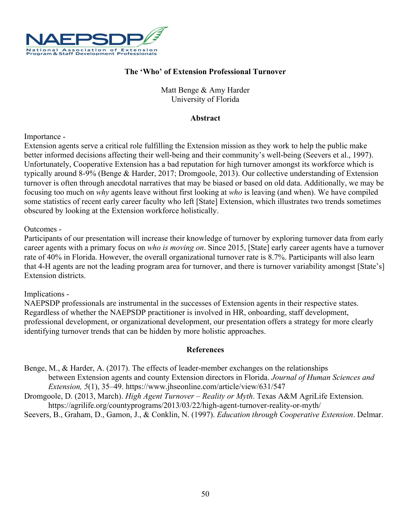

## **The 'Who' of Extension Professional Turnover**

Matt Benge & Amy Harder University of Florida

#### **Abstract**

#### Importance -

Extension agents serve a critical role fulfilling the Extension mission as they work to help the public make better informed decisions affecting their well-being and their community's well-being (Seevers et al., 1997). Unfortunately, Cooperative Extension has a bad reputation for high turnover amongst its workforce which is typically around 8-9% (Benge & Harder, 2017; Dromgoole, 2013). Our collective understanding of Extension turnover is often through anecdotal narratives that may be biased or based on old data. Additionally, we may be focusing too much on *why* agents leave without first looking at *who* is leaving (and when). We have compiled some statistics of recent early career faculty who left [State] Extension, which illustrates two trends sometimes obscured by looking at the Extension workforce holistically.

#### Outcomes -

Participants of our presentation will increase their knowledge of turnover by exploring turnover data from early career agents with a primary focus on *who is moving on*. Since 2015, [State] early career agents have a turnover rate of 40% in Florida. However, the overall organizational turnover rate is 8.7%. Participants will also learn that 4-H agents are not the leading program area for turnover, and there is turnover variability amongst [State's] Extension districts.

#### Implications -

NAEPSDP professionals are instrumental in the successes of Extension agents in their respective states. Regardless of whether the NAEPSDP practitioner is involved in HR, onboarding, staff development, professional development, or organizational development, our presentation offers a strategy for more clearly identifying turnover trends that can be hidden by more holistic approaches.

#### **References**

Benge, M., & Harder, A. (2017). The effects of leader-member exchanges on the relationships between Extension agents and county Extension directors in Florida. *Journal of Human Sciences and Extension, 5*(1), 35–49. https://www.jhseonline.com/article/view/631/547

Dromgoole, D. (2013, March). *High Agent Turnover – Reality or Myth*. Texas A&M AgriLife Extension.

https://agrilife.org/countyprograms/2013/03/22/high-agent-turnover-reality-or-myth/

Seevers, B., Graham, D., Gamon, J., & Conklin, N. (1997). *Education through Cooperative Extension*. Delmar.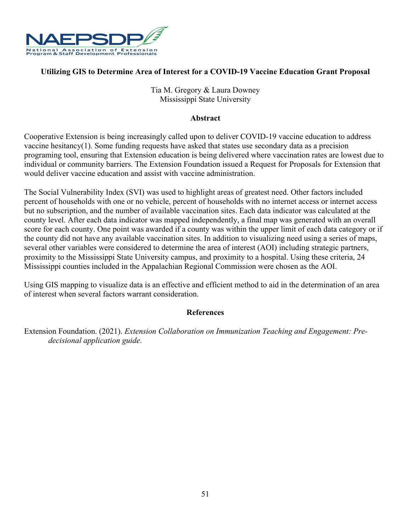

## **Utilizing GIS to Determine Area of Interest for a COVID-19 Vaccine Education Grant Proposal**

Tia M. Gregory & Laura Downey Mississippi State University

#### **Abstract**

Cooperative Extension is being increasingly called upon to deliver COVID-19 vaccine education to address vaccine hesitancy(1). Some funding requests have asked that states use secondary data as a precision programing tool, ensuring that Extension education is being delivered where vaccination rates are lowest due to individual or community barriers. The Extension Foundation issued a Request for Proposals for Extension that would deliver vaccine education and assist with vaccine administration.

The Social Vulnerability Index (SVI) was used to highlight areas of greatest need. Other factors included percent of households with one or no vehicle, percent of households with no internet access or internet access but no subscription, and the number of available vaccination sites. Each data indicator was calculated at the county level. After each data indicator was mapped independently, a final map was generated with an overall score for each county. One point was awarded if a county was within the upper limit of each data category or if the county did not have any available vaccination sites. In addition to visualizing need using a series of maps, several other variables were considered to determine the area of interest (AOI) including strategic partners, proximity to the Mississippi State University campus, and proximity to a hospital. Using these criteria, 24 Mississippi counties included in the Appalachian Regional Commission were chosen as the AOI.

Using GIS mapping to visualize data is an effective and efficient method to aid in the determination of an area of interest when several factors warrant consideration.

## **References**

Extension Foundation. (2021). *Extension Collaboration on Immunization Teaching and Engagement: Predecisional application guide*.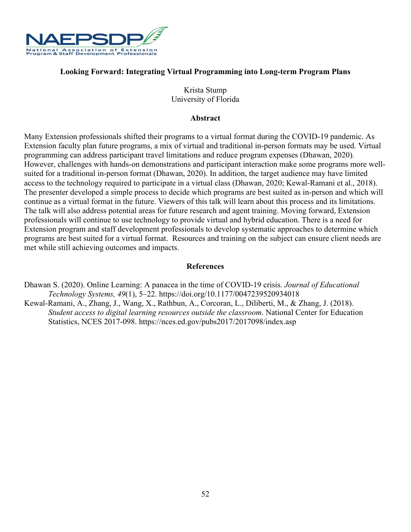

## **Looking Forward: Integrating Virtual Programming into Long-term Program Plans**

Krista Stump University of Florida

#### **Abstract**

Many Extension professionals shifted their programs to a virtual format during the COVID-19 pandemic. As Extension faculty plan future programs, a mix of virtual and traditional in-person formats may be used. Virtual programming can address participant travel limitations and reduce program expenses (Dhawan, 2020). However, challenges with hands-on demonstrations and participant interaction make some programs more wellsuited for a traditional in-person format (Dhawan, 2020). In addition, the target audience may have limited access to the technology required to participate in a virtual class (Dhawan, 2020; Kewal-Ramani et al., 2018). The presenter developed a simple process to decide which programs are best suited as in-person and which will continue as a virtual format in the future. Viewers of this talk will learn about this process and its limitations. The talk will also address potential areas for future research and agent training. Moving forward, Extension professionals will continue to use technology to provide virtual and hybrid education. There is a need for Extension program and staff development professionals to develop systematic approaches to determine which programs are best suited for a virtual format. Resources and training on the subject can ensure client needs are met while still achieving outcomes and impacts.

- Dhawan S. (2020). Online Learning: A panacea in the time of COVID-19 crisis. *Journal of Educational Technology Systems, 49*(1), 5–22. https://doi.org/10.1177/0047239520934018
- Kewal-Ramani, A., Zhang, J., Wang, X., Rathbun, A., Corcoran, L., Diliberti, M., & Zhang, J. (2018). *Student access to digital learning resources outside the classroom*. National Center for Education Statistics, NCES 2017-098. https://nces.ed.gov/pubs2017/2017098/index.asp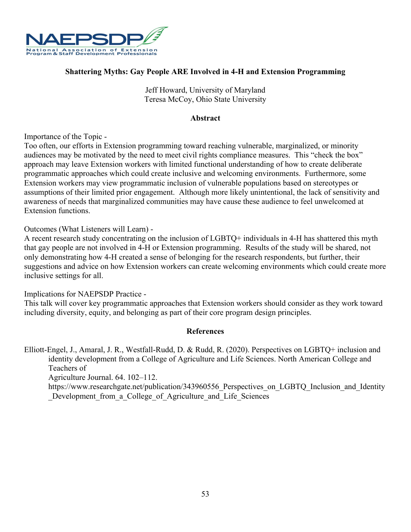

## **Shattering Myths: Gay People ARE Involved in 4-H and Extension Programming**

Jeff Howard, University of Maryland Teresa McCoy, Ohio State University

#### **Abstract**

Importance of the Topic -

Too often, our efforts in Extension programming toward reaching vulnerable, marginalized, or minority audiences may be motivated by the need to meet civil rights compliance measures. This "check the box" approach may leave Extension workers with limited functional understanding of how to create deliberate programmatic approaches which could create inclusive and welcoming environments. Furthermore, some Extension workers may view programmatic inclusion of vulnerable populations based on stereotypes or assumptions of their limited prior engagement. Although more likely unintentional, the lack of sensitivity and awareness of needs that marginalized communities may have cause these audience to feel unwelcomed at Extension functions.

Outcomes (What Listeners will Learn) -

A recent research study concentrating on the inclusion of LGBTQ+ individuals in 4-H has shattered this myth that gay people are not involved in 4-H or Extension programming. Results of the study will be shared, not only demonstrating how 4-H created a sense of belonging for the research respondents, but further, their suggestions and advice on how Extension workers can create welcoming environments which could create more inclusive settings for all.

Implications for NAEPSDP Practice -

This talk will cover key programmatic approaches that Extension workers should consider as they work toward including diversity, equity, and belonging as part of their core program design principles.

#### **References**

Elliott-Engel, J., Amaral, J. R., Westfall-Rudd, D. & Rudd, R. (2020). Perspectives on LGBTQ+ inclusion and identity development from a College of Agriculture and Life Sciences. North American College and Teachers of

Agriculture Journal. 64. 102–112.

https://www.researchgate.net/publication/343960556 Perspectives\_on\_LGBTQ\_Inclusion\_and\_Identity Development from a College of Agriculture and Life Sciences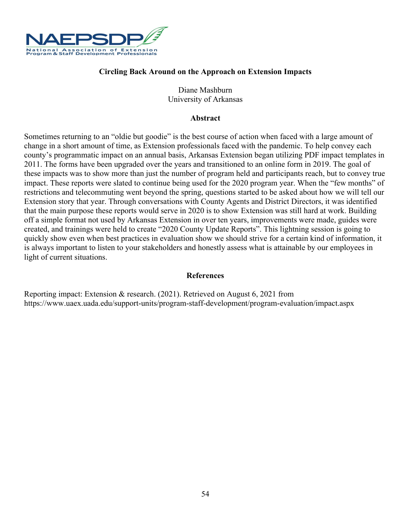

## **Circling Back Around on the Approach on Extension Impacts**

Diane Mashburn University of Arkansas

#### **Abstract**

Sometimes returning to an "oldie but goodie" is the best course of action when faced with a large amount of change in a short amount of time, as Extension professionals faced with the pandemic. To help convey each county's programmatic impact on an annual basis, Arkansas Extension began utilizing PDF impact templates in 2011. The forms have been upgraded over the years and transitioned to an online form in 2019. The goal of these impacts was to show more than just the number of program held and participants reach, but to convey true impact. These reports were slated to continue being used for the 2020 program year. When the "few months" of restrictions and telecommuting went beyond the spring, questions started to be asked about how we will tell our Extension story that year. Through conversations with County Agents and District Directors, it was identified that the main purpose these reports would serve in 2020 is to show Extension was still hard at work. Building off a simple format not used by Arkansas Extension in over ten years, improvements were made, guides were created, and trainings were held to create "2020 County Update Reports". This lightning session is going to quickly show even when best practices in evaluation show we should strive for a certain kind of information, it is always important to listen to your stakeholders and honestly assess what is attainable by our employees in light of current situations.

#### **References**

Reporting impact: Extension & research. (2021). Retrieved on August 6, 2021 from https://www.uaex.uada.edu/support-units/program-staff-development/program-evaluation/impact.aspx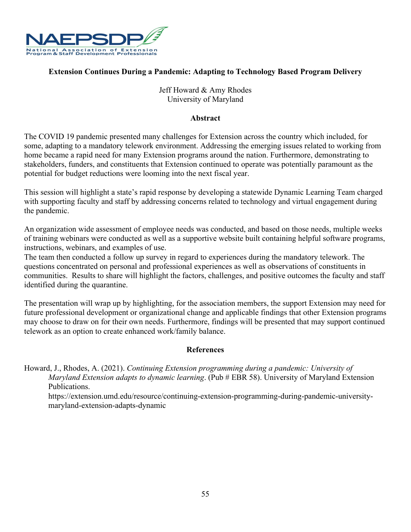

## **Extension Continues During a Pandemic: Adapting to Technology Based Program Delivery**

Jeff Howard & Amy Rhodes University of Maryland

#### **Abstract**

The COVID 19 pandemic presented many challenges for Extension across the country which included, for some, adapting to a mandatory telework environment. Addressing the emerging issues related to working from home became a rapid need for many Extension programs around the nation. Furthermore, demonstrating to stakeholders, funders, and constituents that Extension continued to operate was potentially paramount as the potential for budget reductions were looming into the next fiscal year.

This session will highlight a state's rapid response by developing a statewide Dynamic Learning Team charged with supporting faculty and staff by addressing concerns related to technology and virtual engagement during the pandemic.

An organization wide assessment of employee needs was conducted, and based on those needs, multiple weeks of training webinars were conducted as well as a supportive website built containing helpful software programs, instructions, webinars, and examples of use.

The team then conducted a follow up survey in regard to experiences during the mandatory telework. The questions concentrated on personal and professional experiences as well as observations of constituents in communities. Results to share will highlight the factors, challenges, and positive outcomes the faculty and staff identified during the quarantine.

The presentation will wrap up by highlighting, for the association members, the support Extension may need for future professional development or organizational change and applicable findings that other Extension programs may choose to draw on for their own needs. Furthermore, findings will be presented that may support continued telework as an option to create enhanced work/family balance.

## **References**

Howard, J., Rhodes, A. (2021). *Continuing Extension programming during a pandemic: University of Maryland Extension adapts to dynamic learning*. (Pub # EBR 58). University of Maryland Extension Publications.

https://extension.umd.edu/resource/continuing-extension-programming-during-pandemic-universitymaryland-extension-adapts-dynamic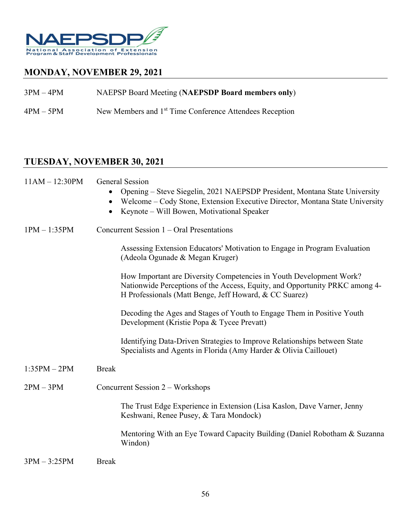

## **MONDAY, NOVEMBER 29, 2021**

3PM – 4PM NAEPSP Board Meeting (**NAEPSDP Board members only**)

4PM – 5PM New Members and 1<sup>st</sup> Time Conference Attendees Reception

# **TUESDAY, NOVEMBER 30, 2021**

| $11AM - 12:30PM$ | <b>General Session</b><br>Opening – Steve Siegelin, 2021 NAEPSDP President, Montana State University<br>Welcome – Cody Stone, Extension Executive Director, Montana State University<br>Keynote – Will Bowen, Motivational Speaker |
|------------------|------------------------------------------------------------------------------------------------------------------------------------------------------------------------------------------------------------------------------------|
| $1PM - 1:35PM$   | Concurrent Session 1 – Oral Presentations                                                                                                                                                                                          |
|                  | Assessing Extension Educators' Motivation to Engage in Program Evaluation<br>(Adeola Ogunade & Megan Kruger)                                                                                                                       |
|                  | How Important are Diversity Competencies in Youth Development Work?<br>Nationwide Perceptions of the Access, Equity, and Opportunity PRKC among 4-<br>H Professionals (Matt Benge, Jeff Howard, & CC Suarez)                       |
|                  | Decoding the Ages and Stages of Youth to Engage Them in Positive Youth<br>Development (Kristie Popa & Tycee Prevatt)                                                                                                               |
|                  | Identifying Data-Driven Strategies to Improve Relationships between State<br>Specialists and Agents in Florida (Amy Harder & Olivia Caillouet)                                                                                     |
| $1:35PM - 2PM$   | <b>Break</b>                                                                                                                                                                                                                       |
| $2PM - 3PM$      | Concurrent Session 2 – Workshops                                                                                                                                                                                                   |
|                  | The Trust Edge Experience in Extension (Lisa Kaslon, Dave Varner, Jenny<br>Keshwani, Renee Pusey, & Tara Mondock)                                                                                                                  |
|                  | Mentoring With an Eye Toward Capacity Building (Daniel Robotham & Suzanna<br>Windon)                                                                                                                                               |
| $3PM - 3:25PM$   | <b>Break</b>                                                                                                                                                                                                                       |
|                  |                                                                                                                                                                                                                                    |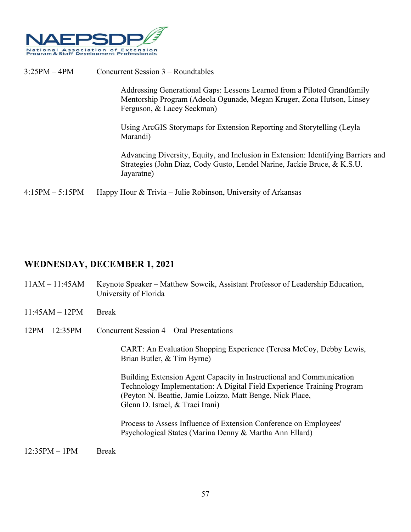

3:25PM – 4PM Concurrent Session 3 – Roundtables

Addressing Generational Gaps: Lessons Learned from a Piloted Grandfamily Mentorship Program (Adeola Ogunade, Megan Kruger, Zona Hutson, Linsey Ferguson, & Lacey Seckman)

Using ArcGIS Storymaps for Extension Reporting and Storytelling (Leyla Marandi)

Advancing Diversity, Equity, and Inclusion in Extension: Identifying Barriers and Strategies (John Diaz, Cody Gusto, Lendel Narine, Jackie Bruce, & K.S.U. Jayaratne)

4:15PM – 5:15PM Happy Hour & Trivia – Julie Robinson, University of Arkansas

## **WEDNESDAY, DECEMBER 1, 2021**

| $11AM - 11:45AM$    | Keynote Speaker – Matthew Sowcik, Assistant Professor of Leadership Education,<br>University of Florida                                                                                                                                        |  |  |
|---------------------|------------------------------------------------------------------------------------------------------------------------------------------------------------------------------------------------------------------------------------------------|--|--|
| $11:45AM - 12PM$    | <b>Break</b>                                                                                                                                                                                                                                   |  |  |
| $12PM - 12:35PM$    | Concurrent Session 4 – Oral Presentations                                                                                                                                                                                                      |  |  |
|                     | CART: An Evaluation Shopping Experience (Teresa McCoy, Debby Lewis,<br>Brian Butler, & Tim Byrne)                                                                                                                                              |  |  |
|                     | Building Extension Agent Capacity in Instructional and Communication<br>Technology Implementation: A Digital Field Experience Training Program<br>(Peyton N. Beattie, Jamie Loizzo, Matt Benge, Nick Place,<br>Glenn D. Israel, & Traci Irani) |  |  |
|                     | Process to Assess Influence of Extension Conference on Employees'<br>Psychological States (Marina Denny & Martha Ann Ellard)                                                                                                                   |  |  |
| $12.250M + 10M - 0$ |                                                                                                                                                                                                                                                |  |  |

 $12:35PM - 1PM$  Break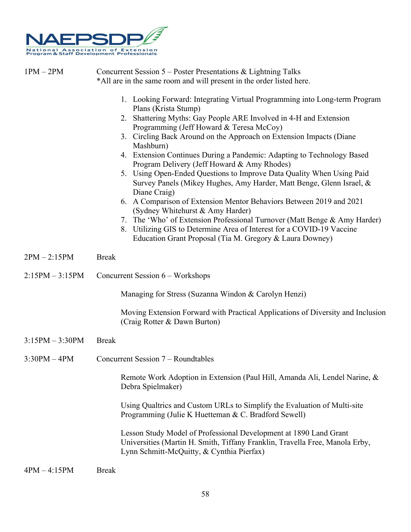

| $1PM - 2PM$       | Concurrent Session 5 – Poster Presentations & Lightning Talks<br>*All are in the same room and will present in the order listed here.                                                                                                                                                                                                                                                                                                                                                                                                                                                                                                                                                                                                                                                                                                                                                                                          |  |  |
|-------------------|--------------------------------------------------------------------------------------------------------------------------------------------------------------------------------------------------------------------------------------------------------------------------------------------------------------------------------------------------------------------------------------------------------------------------------------------------------------------------------------------------------------------------------------------------------------------------------------------------------------------------------------------------------------------------------------------------------------------------------------------------------------------------------------------------------------------------------------------------------------------------------------------------------------------------------|--|--|
|                   | 1. Looking Forward: Integrating Virtual Programming into Long-term Program<br>Plans (Krista Stump)<br>2. Shattering Myths: Gay People ARE Involved in 4-H and Extension<br>Programming (Jeff Howard & Teresa McCoy)<br>3. Circling Back Around on the Approach on Extension Impacts (Diane<br>Mashburn)<br>4. Extension Continues During a Pandemic: Adapting to Technology Based<br>Program Delivery (Jeff Howard & Amy Rhodes)<br>5. Using Open-Ended Questions to Improve Data Quality When Using Paid<br>Survey Panels (Mikey Hughes, Amy Harder, Matt Benge, Glenn Israel, &<br>Diane Craig)<br>6. A Comparison of Extension Mentor Behaviors Between 2019 and 2021<br>(Sydney Whitehurst & Amy Harder)<br>7. The 'Who' of Extension Professional Turnover (Matt Benge & Amy Harder)<br>8. Utilizing GIS to Determine Area of Interest for a COVID-19 Vaccine<br>Education Grant Proposal (Tia M. Gregory & Laura Downey) |  |  |
| $2PM - 2:15PM$    | <b>Break</b>                                                                                                                                                                                                                                                                                                                                                                                                                                                                                                                                                                                                                                                                                                                                                                                                                                                                                                                   |  |  |
| $2:15PM - 3:15PM$ | Concurrent Session $6 - W$ orkshops                                                                                                                                                                                                                                                                                                                                                                                                                                                                                                                                                                                                                                                                                                                                                                                                                                                                                            |  |  |
|                   | Managing for Stress (Suzanna Windon & Carolyn Henzi)                                                                                                                                                                                                                                                                                                                                                                                                                                                                                                                                                                                                                                                                                                                                                                                                                                                                           |  |  |
|                   | Moving Extension Forward with Practical Applications of Diversity and Inclusion<br>(Craig Rotter & Dawn Burton)                                                                                                                                                                                                                                                                                                                                                                                                                                                                                                                                                                                                                                                                                                                                                                                                                |  |  |
| $3:15PM - 3:30PM$ | <b>Break</b>                                                                                                                                                                                                                                                                                                                                                                                                                                                                                                                                                                                                                                                                                                                                                                                                                                                                                                                   |  |  |
| $3:30PM - 4PM$    | Concurrent Session 7 – Roundtables                                                                                                                                                                                                                                                                                                                                                                                                                                                                                                                                                                                                                                                                                                                                                                                                                                                                                             |  |  |
|                   | Remote Work Adoption in Extension (Paul Hill, Amanda Ali, Lendel Narine, &<br>Debra Spielmaker)                                                                                                                                                                                                                                                                                                                                                                                                                                                                                                                                                                                                                                                                                                                                                                                                                                |  |  |
|                   | Using Qualtrics and Custom URLs to Simplify the Evaluation of Multi-site<br>Programming (Julie K Huetteman & C. Bradford Sewell)                                                                                                                                                                                                                                                                                                                                                                                                                                                                                                                                                                                                                                                                                                                                                                                               |  |  |
|                   | Lesson Study Model of Professional Development at 1890 Land Grant<br>Universities (Martin H. Smith, Tiffany Franklin, Travella Free, Manola Erby,<br>Lynn Schmitt-McQuitty, & Cynthia Pierfax)                                                                                                                                                                                                                                                                                                                                                                                                                                                                                                                                                                                                                                                                                                                                 |  |  |
| $4PM - 4:15PM$    | <b>Break</b>                                                                                                                                                                                                                                                                                                                                                                                                                                                                                                                                                                                                                                                                                                                                                                                                                                                                                                                   |  |  |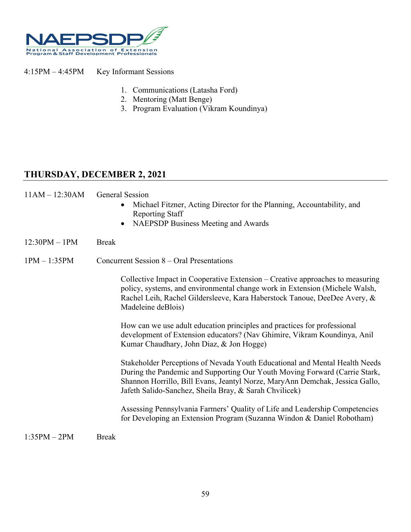

4:15PM – 4:45PM Key Informant Sessions

- 1. Communications (Latasha Ford)
- 2. Mentoring (Matt Benge)

Reporting Staff

3. Program Evaluation (Vikram Koundinya)

## **THURSDAY, DECEMBER 2, 2021**

11AM – 12:30AM General Session

|                 |              | NAEPSDP Business Meeting and Awards<br>$\bullet$                                                                                                                                                                                                                                                    |
|-----------------|--------------|-----------------------------------------------------------------------------------------------------------------------------------------------------------------------------------------------------------------------------------------------------------------------------------------------------|
| $12:30PM - 1PM$ | <b>Break</b> |                                                                                                                                                                                                                                                                                                     |
| $1PM - 1:35PM$  |              | Concurrent Session 8 – Oral Presentations                                                                                                                                                                                                                                                           |
|                 |              | Collective Impact in Cooperative Extension – Creative approaches to measuring<br>policy, systems, and environmental change work in Extension (Michele Walsh,<br>Rachel Leih, Rachel Gildersleeve, Kara Haberstock Tanoue, DeeDee Avery, &<br>Madeleine deBlois)                                     |
|                 |              | How can we use adult education principles and practices for professional<br>development of Extension educators? (Nav Ghimire, Vikram Koundinya, Anil<br>Kumar Chaudhary, John Diaz, & Jon Hogge)                                                                                                    |
|                 |              | Stakeholder Perceptions of Nevada Youth Educational and Mental Health Needs<br>During the Pandemic and Supporting Our Youth Moving Forward (Carrie Stark,<br>Shannon Horrillo, Bill Evans, Jeantyl Norze, MaryAnn Demchak, Jessica Gallo,<br>Jafeth Salido-Sanchez, Sheila Bray, & Sarah Chvilicek) |
|                 |              | Assessing Pennsylvania Farmers' Quality of Life and Leadership Competencies<br>for Developing an Extension Program (Suzanna Windon & Daniel Robotham)                                                                                                                                               |
| $1:35PM - 2PM$  | <b>Break</b> |                                                                                                                                                                                                                                                                                                     |

• Michael Fitzner, Acting Director for the Planning, Accountability, and